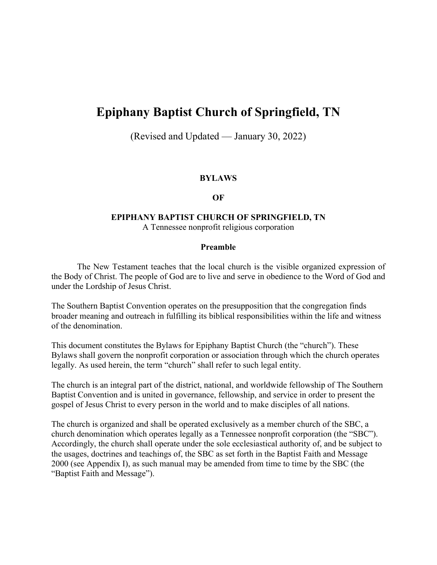# Epiphany Baptist Church of Springfield, TN<br>(Revised and Updated — January 30, 2022) Any Baptist Church of Springfield, TN<br>(Revised and Updated — January 30, 2022)<br>BYLAWS

# BYLAWS

# OF

# Fighter September 1998<br>
EPIPHANY BAPTIST CHURCH OF SPRINGFIELD, TN<br>
EPIPHANY BAPTIST CHURCH OF SPRINGFIELD, TN<br>
A Tennessee nonprofit religious corporation<br>
Preamble

# Preamble

**y Baptist Church of Springfield, TN**<br>
evised and Updated — January 30, 2022)<br>
BYLAWS<br>
OF<br>
NY BAPTIST CHURCH OF SPRINGFIELD, TN<br>
A Tennessee nonprofit religious corporation<br>
Preamble<br>
Int teaches that the local church is t **Epiphany Baptist Church of Springfield, TN**<br>
(Revised and Updated — January 30, 2022)<br> **BYLAWS**<br> **OF**<br> **EPIPHANY BAPTIST CHURCH OF SPRINGFIELD, TN**<br>
A Tennessee nonprofit religious corporation<br> **Preamble**<br> **The New Testam Epiphany Baptist Church of Springfield, TN**<br>
(Revised and Updated — January 30, 2022)<br> **BYLAWS**<br>
OF<br> **EPIPHANY BAPTIST CHURCH OF SPRINGFIELD, TN**<br>
A Tennessee nonprofit religious corporation<br>
The New Testament teaches tha

**Epiphany Baptist Church of Springfield, TN**<br>
(Revised and Updated — January 30, 2022)<br> **BYLAWS**<br> **OF**<br> **EPIPHANY BAPTIST CHURCH OF SPRINGFIELD, TN**<br>
A Tennessee nonprofit religious corporation<br>
Preamble<br>
The New Testament (Revised and Updated — January 30, 2022)<br>
BYLAWS<br>
OF<br>
BYLAWS<br>
OF<br>
EPIPHANY BAPTIST CHURCH OF SPRINGFIELD, TN<br>
A Tennessee nonprofit religious corporation<br>
The New Testament teaches that the local church is the visible org (Revised and Updated — January 30, 2022)<br>
BYLAWS<br>
OF<br>
BYLAWS<br>
OF<br>
EPIPHANY BAPTIST CHURCH OF SPRINGFIELD, TN<br>
A Tennessee nonprofit religious corporation<br>
Preamble<br>
The New Testament teaches that the local church is the vi **BYLAWS**<br> **OF**<br> **EPIPHANY BAPTIST CHURCH OF SPRINGFIELL**<br>
A Tennessee nonprofit religious corporation<br> **Preamble**<br>
The New Testament teaches that the local church is the visible of<br>
the Body of Christ. The people of God ar **BYLAWS**<br> **OF**<br> **CHERANY BAPTIST CHURCH OF SPRINGFIELD, TN<br>
A Tennessee nonprofit religious corporation<br>
<b>Preamble**<br>
The New Testament teaches that the local church is the visible organized expression of<br>
the Body of Chris BYLAWS<br> **BYLAWS**<br> **BYLAWS**<br> **BYLAWS**<br> **BYLAWS**<br> **BYLAWS**<br> **BYLAWS**<br> **BYLAWS**<br> **BYLAWS**<br> **BYLAWS**<br> **BYLAWS**<br> **BYLAWS**<br> **BYLAWS**<br> **PYRANGPIELD, TN**<br> **PYRANGPIELD, TN**<br> **PYRANGPIELD, TN**<br> **PYRANGPIELD, TN**<br> **PYRANGPIELD, TN**<br>

**EPIPHANY BAPTIST CHURCH OF SPRINGFIELD, TN**<br>
A Tennessee nonprofit religious corporation<br> **Preamble**<br>
The New Testament teaches that the local church is the visible organized expression of<br>
the Body of Christ. The people **EPIPHANY BAPTIST CHURCH OF SPRINGFIELD, TN**<br>
A Tennessee nonprofit religious eorporation<br> **Preamble**<br>
The New Testament teaches that the local church is the visible organized expression of<br>
the Body of Christ. The people **EPIPHANY BAPTIST CHURCH OF SPRINGFIELD, TN**<br>
A Tennessee nompofit religious corporation<br> **Preamble**<br>
The New Testament teaches that the local church is the visible organized expression of<br>
the Body of Christ. The people o

The New Testament teaches that the local church is the visible organized expression of<br>
The New Testament teaches that the local church is the visible organized expression of<br>
the Body of Christ. The pcople of God are to l **Preamble**<br>The New Testament teaches that the local church is the visible organized expression of<br>the Body of Christ. The people of God are to live and serve in obedience to the Word of God and<br>under the Lordship of Jesus The New Testament teaches that the local church is the visible organized expression of<br>the Body of Christ. The pcople of God are to live and serve in obedience to the Word of God and<br>under the Lordship of Jesus Christ.<br>The The New Testament teaches that the local church is the visible organized expression of<br>the Body of Christ. The people of God are to live and serve in obedience to the Word of God and<br>under the Lordship of Jesus Christ.<br>The the Body of Christ. The people of God are to live and serve in obedience to the Word of God and<br>under the Lordship of Jesus Christ.<br>The Southern Baptist Convention operates on the presupposition that the congregation finds 2000 (see Appendix I), as such manual may be amended from time both the SBC (the Baggiest). The Southern Baptist Convention operates on the presupposition that the congregation finds broader meaning and outreach in fulfill The Southern Baptist Convention operates on the presupposition that the congregation<br>broader meaning and outreach in fulfilling its biblical responsibilities within the life an<br>of the denomination.<br>This document constitute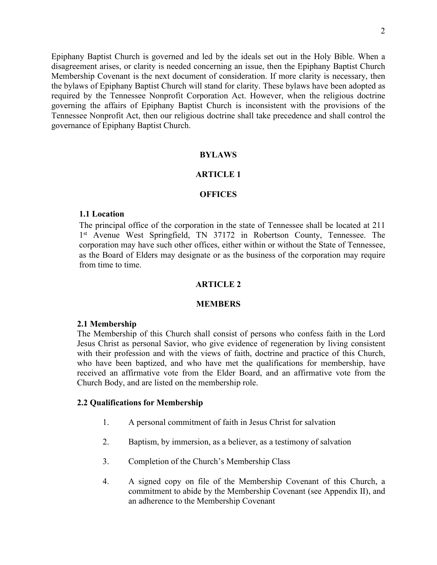2<br>Epiphany Baptist Church is governed and led by the ideals set out in the Holy Bible. When a<br>disagreement arises, or clarity is needed concerning an issue, then the Epiphany Baptist Church<br>Membership Covenant is the next <sup>2</sup><br>Epiphany Baptist Church is governed and led by the ideals set out in the Holy Bible. When a<br>disagreement arises, or clarity is needed concerning an issue, then the Epiphany Baptist Church<br>Membership Covenant is the nex 2<br>Epiphany Baptist Church is governed and led by the ideals set out in the Holy Bible. When a<br>disagreement arises, or clarity is needed concerning an issue, then the Epiphany Baptist Church<br>Membership Covenant is the next 2<br>Epiphany Baptist Church is governed and led by the ideals set out in the Holy Bible. When a<br>disagreement arises, or clarity is needed concerning an issue, then the Epiphany Baptist Church<br>Membership Covenant is the next 2 Epiphany Baptist Church is governed and led by the ideals set out in the Holy Bible. When a disagreement arises, or clarity is needed concerning an issue, then the Epiphany Baptist Church Membership Covenant is the next Epiphany Baptist Church is governed and led by the ideals set out in the Holy Bible. When a disagreement arises, or clarity is needed concerning an issue, then the Epiphany Baptist Church Membership Covenant is the next do 2<br>Epiphany Baptist Church is governed and led by the ideals set out in the Holy Bible. When a<br>disagreement arises, or clarity is needed concerning an issue, then the Epiphany Baptist Church<br>Membership Covenant is the next <sup>2</sup><br>
Epiphany Baptist Church is governed and led by the ideals set out in the Holy Bible. When a disagrement arises, or clarity is needed concerning an issue, then the Epiphany Baptist Church will stand for clarity. These 2<br>
al led by the ideals set out in the Holy Bible. When a<br>
concerning an issue, then the Epiphany Baptist Church<br>
ent of consideration. If more clarity is necessary, then<br>
ill stand for clarity. These bylaws have been adop Note that the state of Elementary and Serbian and Islam Serbian and Islam Serbian and Serbian and Serbian and Serbian and Serbian and Serbian and Serbian and Serbian and Serbian and Serbian and Serbian and Serbian and Serb N Baptist Church is governed and led by the ideals set out in the Holy Bible. When a<br>ment arises, or clarity is needed concerning an issue, then the Epiphany Baptist Church<br>ship Covenant is the next document of considerati Stapitic Church is governed and led by the ideals set out in the Holy Bible. When a<br>nent arises, or clarity is needed concerning an issue, then the Epiphany Baptist Church<br>hip Covenant is the next document of consideration ment arises, or clarity is needed concerning an issue, then the Epiphany Baptist Church<br>
ship Covenant is the next document of consideration. If more clarity is necessary, then<br>
sus of Epiphany Baptist Church will stand fo ship Covenant is the next document of consideration. If more clarity is necessary, then<br>we of Epiphany Baptist Church will stand for clarity. These bylaws have been adopted as<br>by the Tennessee Nonprofit Corporation Act. Ho We so f Epiphany Baptist Church will stand for clarity. These bylaws have been ad by the Tennessec Nonprofit Corporation Act. However, when the religious genue affirs of Epiphany Baptist Church is inconsistent with the pro

# BYLAWS

# **OFFICES**

1<sup>st</sup> Avenue West Springfield, TN 37172 in Robertson County, Tennessee. The ist Church is inconsistent with the provisions of the<br>sus doctrine shall take precedence and shall control the<br>**BYLAWS**<br>**ARTICLE 1**<br>**OFFICES**<br>ation in the state of Tennessee shall be located at 211<br>TN 37172 in Robertson Co **BYLAWS**<br> **BYLAWS**<br> **ARTICLE 1**<br> **OFFICES**<br> **1.1 Location**<br>
The principal office of the corporation in the state of Tennessee shall<br>
1<sup>st</sup> Avenue West Springfield, TN 37172 in Robertson County,<br>
corporation may have such o

## MEMBERS

**BYLAWS**<br> **ARTICLE 1**<br> **OFFICES**<br> **I.I Location**<br> **The principal office of the corporation in the state of Tennessee shall be located at 211<br>
T<sup>th</sup> Avenus West Springfield, TN 37172 in Robertson County, Tennessec. The<br>
co** Jesus Christ as personal Savior, who give evidence of regeneration by living consistent **EXECT ANDET ANDET ANDET ANDET AND THE PROFECT AND THE PROFECT ON THE PROPORTION THE PROPORTION THE AVENUE OF A SUPPORT AND WEATHEM AND WEATHEM AND WEATHEM AND WEATHEM AND WEATHEM AND WEATHEM AND WEATHEM AND THE VIEWS OF SET ALT LOCATE CONDUCT CONDUCT:**<br>
The principal office of the corporation in the state of Tennessee shall be located at 211<br>
1<sup>14</sup> Avenue West Springfield, TN 37172 in Robertson County, Tennessee. The<br>
corporation may ha **CONTENT CONTENT CONTENT CONTENT CONTENT CONTENT AND A STATE TO A THE AN ANTION CONTENT AND A STATE IN CONTENT CONTENT CONTENT AND CONTENT CONTENT CONTENT CONTENT CONTENT CONTENT CONTENT CONTENT AND AN ANTION CONTENT CONTE 1.1 Location**<br>
The principal office of the corporation in the state of Tennessee shall be located at 211<br>  $I^{\text{st}}$  Avenue West Springfield, TN 37172 in Robertson County, Tennessee. The<br>
corporation may have such other o The principal office of the corporation in the state of Tennessee shall be located at 211<br>
<sup>1st</sup> Avenue West Springfield, TN 37172 in Robertson County, Tennessee. The<br>
corporation may have such other offices, either within 2. A personal commitment of faith in Jesus Christ for salvation and connect the State of Tennessee, Hoard of Elders may designate or as the business of the corporation may require me to time.<br>
ARTICLE 2<br> **ARTICLE 2**<br> **ART** 2. Baptism, by immersion, as a believer, as a testimony of salvation function, and sensitive methods of persons who confess faith in the Lord<br>methods in the Sharehof shall consist of persons who confess faith in the Lord<br>m **EXECT MEXAMUSE ANTICLE 2**<br> **SECURE THEOTE MEMBERS**<br> **SECURE THEOTE SECURE THEOTE SECURE THEOTE SECURE THEOTE SECURE THEOTE THEOTE THEOTE THEOTE THEOTE THEOTE THEOTE THEOTE THEOTE OF THEOTE AND and an affirmative vote from MEMBERS**<br> **EXECUTE:** THE SURVERT THE SURVERT THE SURVERT THE SPECIES THE THE SPECIES THE THE SPECIES THE THE SPECIES THE THE THE SURVER CONDICT USE CONDICT USE CONDICT ON FIGURE OF this Church, the veives of this Church, in the Lord persons who confess faith in the Lord<br>personal Savior, who give evidence of regeneration by living consistent<br>ession and with the views of faith, doctrine and practice of this Church,<br>h baptized, and who have m ip<br>nip of this Church shall consist of persons who confess faith in the Lord<br>ne personal Savior, who give evidence of regeneration by living consistent<br>ession and with the views of faith, doctrine and practice of this Chur

- 
- 
- 
-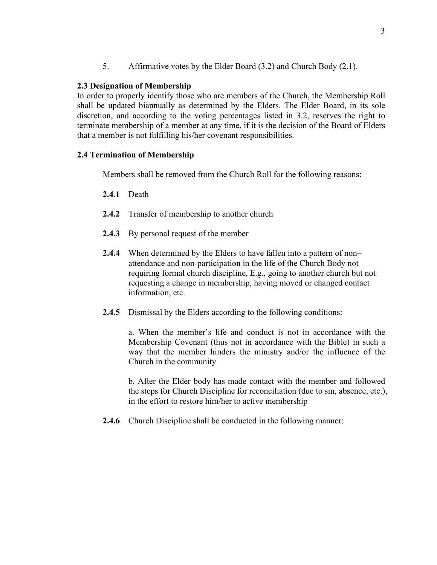3<br>5. Affirmative votes by the Elder Board (3.2) and Church Body (2.1).<br> **S. Affirmative votes by the Elder Board (2.1).**<br> **S. Affirmative votes by the Elder Board, the Membership Roll**<br> **S. Affirmative whole are members of** 5. Affirmative votes by the Elder Board (3.2) and Church Body (2.1).<br> **2.3 Designation of Membership**<br>
In order to properly identify those who are members of the Church, the Membership Ro<br>
shall be updated biannually as de 3<br> **In order to proper to proper to proper to proper to proper to proper to properly identify those who are members of the Church, the Membership Roll<br>
In order to properly identify those who are members of the Church, the** 3<br>S. Affirmative votes by the Elder Board (3.2) and Church Body (2.1).<br>2.3 Designation of Membership<br>In order to properly identify those who are members of the Church, the Membership Roll<br>shall be updated biannually as det 3<br>discretion, and Church Board (3.2) and Church Body (2.1).<br>**2.3 Designation of Membership**<br>In order to properly identify those who are members of the Church, the Membership Roll<br>shall be updated biannually as determined b 5. Affirmative votes by the Elder Board (3.2) and Church Body (2.1).<br> **2.3 Designation of Membership**<br>
In order to properly identify those who are members of the Church, the Membership Roll<br>
shall be updated bianually as d 5. Affirmative votes by the Elder Board (3.2) and Church Body (2.1).<br> **2.3 Designation of Membership**<br>
In order to properly identify those who are members of the Church, the Membership Roll<br>
shall be updated biamually as d 5. Affirmative votes by the Elder Board (3.2) and Church Body (2.1).<br>
2.3 Designation of Membership<br>
In order to properly identify those who are members of the Church, the Membership Ro<br>
shall be updated biannually as dete 3<br>
5. Affirmative votes by the Elder Board (3.2) and Church Body (2.1).<br> **ignation of Membership**<br>
to properly identify those who are members of the Church, the Membership Roll<br>
e updated biannually as determined by the El 3.3<br>
2.4.1 Transfer of Membership<br>
2.4.1 Signation of Membership<br>
2.1.1.<br>
2.4.1 to properly identify those who are members of the Church, the Membership Roll<br>
2.1 updated biannually as determined by the Elders. The Elder 5. Affirmative votes by the Elder Board (3.2) and Church Body (2.1).<br> **ignation of Membership**<br>
to to properly identify those who are members of the Church, the Membership Roll<br>
to properly identify those who are members 2.4.4 When determined by the Elders to have fallen into a pattern of Membership Roll<br>is gradino of Membership Role updated biannually as determined by the Elders. The Elder Board, in its sole<br>on, and according to the votin **n of Membership**<br>perly identify those who are members of the Church, the Membership Roll<br>according to a bia sole according to the voting percentages listed in 3.2, reserves the right to<br>bership of a member at any time, if requiring formal church discipline, E.g., going to another church in Discipline, Discipline, the Elders another another between the state of the Scheminal by the Elders. The Elder Board, in its sole according to the violin

- 2.4.1 Death
- 
- 
- From section and non-participation and non-participation of the Elders. The Elder Board, in its sole according to the voting percentages listed in 3.2, reserves the right to besting of a member at any time, if it is the de increases listed in 3.2, reserves the right to leader and the metal of a coording to the voting percentages listed in 3.2, reserves the right to bership of a member at any time, if it is the decision of the Board of Elders 2.4.5 Dismissal by the Elders according to the following conditions:<br>
2.4.1 Death<br>
2.4.2 Transfer of membership<br>
2.4.2 Transfer of membership to another church<br>
2.4.2 Transfer of membership to another church<br>
2.4.2 Transfe **a.** When the membership was the conduction of Membership to another church Roll for the following reasons:<br>
Death<br>
Transfer of membership to another church<br>
By personal request of the member<br>
When determined by the Elders The membership coverant (thus not in accordance with the member and following the membership to another church<br>
By personal request of the member<br>
When determined by the Elders to have fallen into a pattern of non-<br>
attend rs shall be removed from the Church Roll for the following reasons:<br>Death<br>Transfer of membership to another church<br>By personal request of the member<br>When determined by the Elders to have fallen into a pattern of non-<br>atten Death<br>
Death<br>
Transfer of membership to another church<br>
By personal request of the member<br>
When determined by the Elders to have fallen into a pattern of non-<br>
attendance and non-participation in the life of the Church Bod Transfer of membership to another church<br>By personal request of the member<br>When determined by the Elders to have fallen into a pattern of non-<br>attendance and non-participation in the life of the Church Body not<br>requesting Transfer of membership to another church<br>By personal request of the member<br>When determined by the Elders to have fallen into a pattern of non-<br>attendance and non-participation in the life of the Church Body not<br>requiring f Framine of intertuotally to the member<br>By personal request of the member<br>When determined by the Elders to have fallen into a pattern of non-<br>attendance and non-participation in the life of the Church Body not<br>requiring fo 2.4.4 When determined by the Elders to have fallen into a pattern of non-<br>attentance and non-participation in the life of the Church Body not<br>requiring formal church discipline, E.g., going to another church but not<br>requi
-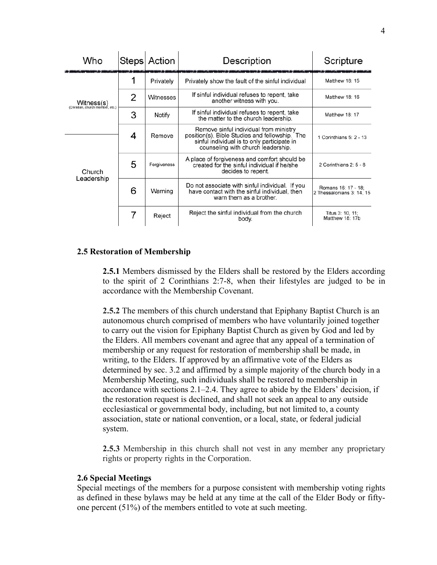| Who                                  |   | Steps Action | Description                                                                                                                                                                                                                                                                                                                                                                                                                                                                                                                                                                                                                                                   | Scripture                                        |
|--------------------------------------|---|--------------|---------------------------------------------------------------------------------------------------------------------------------------------------------------------------------------------------------------------------------------------------------------------------------------------------------------------------------------------------------------------------------------------------------------------------------------------------------------------------------------------------------------------------------------------------------------------------------------------------------------------------------------------------------------|--------------------------------------------------|
| Witness(s)                           | 1 | Privately    | Privately show the fault of the sinful individual                                                                                                                                                                                                                                                                                                                                                                                                                                                                                                                                                                                                             | Matthew 18: 15                                   |
|                                      | 2 | Witnesses    | If sinful individual refuses to repent, take<br>another witness with you.                                                                                                                                                                                                                                                                                                                                                                                                                                                                                                                                                                                     | Matthew 18: 16                                   |
|                                      | 3 | Notify       | If sinful individual refuses to repent, take<br>the matter to the church leadership.                                                                                                                                                                                                                                                                                                                                                                                                                                                                                                                                                                          | Matthew 18: 17                                   |
| Church<br>Leadership                 | 4 | Remove       | Remove sinful individual from ministry<br>position(s), Bible Studies and fellowship. The<br>sinful individual is to only participate in<br>counseling with church leadership.                                                                                                                                                                                                                                                                                                                                                                                                                                                                                 | 1 Corinthians 5: 2 - 13                          |
|                                      | 5 | Forgiveness  | A place of forgiveness and comfort should be<br>created for the sinful individual if he/she<br>decides to repent.                                                                                                                                                                                                                                                                                                                                                                                                                                                                                                                                             | 2 Corinthians 2: 5 - 8                           |
|                                      | 6 | Warning      | Do not associate with sinful individual. If you<br>have contact with the sinful individual, then<br>warn them as a brother.                                                                                                                                                                                                                                                                                                                                                                                                                                                                                                                                   | Romans 16: 17 - 18;<br>2 Thessalonians 3: 14, 15 |
|                                      | 7 | Reject       | Reject the sinful individual from the church<br>body.                                                                                                                                                                                                                                                                                                                                                                                                                                                                                                                                                                                                         | Titus 3: 10, 11;<br>Matthew 18: 17b              |
| <b>2.5 Restoration of Membership</b> |   |              | <b>2.5.1</b> Members dismissed by the Elders shall be restored by the Elders according<br>to the spirit of 2 Corinthians 2:7-8, when their lifestyles are judged to be in<br>accordance with the Membership Covenant.                                                                                                                                                                                                                                                                                                                                                                                                                                         |                                                  |
|                                      |   |              | 2.5.2 The members of this church understand that Epiphany Baptist Church is an<br>autonomous church comprised of members who have voluntarily joined together<br>to carry out the vision for Epiphany Baptist Church as given by God and led by<br>the Elders. All members covenant and agree that any appeal of a termination of<br>membership or any request for restoration of membership shall be made, in<br>writing, to the Elders. If approved by an affirmative vote of the Elders as<br>determined by sec. 3.2 and affirmed by a simple majority of the church body in a<br>$M = 1 - 1$ $M = 1$ $1 - 1 - 1$ $1 - 1 - 1$ $11 - 1 - 1$ $1 - 1 - 1 - 1$ |                                                  |

For the Elders. All members and continue through the statement and a termination of the members of a termination of Reject of a term is a term of a term of a term of a term of a term of a term of a termination of  $\frac{1}{10$ **Example 1.1**<br> **Example 1.1 Contrasts for the main of the main of the main of the main of the main of the main of the main of the main of the main of the main of the main of the main of the main of the main of the main** We separate with sintuli individual. If you<br> **6** Warning Do not associate with sintul individual, then<br>
We contact with the sintul individual from the church<br> **7** Reject<br> **1998** Reject the sintul individual from the churc **Example 19** and a simple major methods and simple major states.<br>
The restorted by the Elders shall be restorted by the Elders according<br>
The restort of Membership<br> **Example may** be the simulation of Membership<br> **Example** wann them as a brother.<br>
Thus 3: 0. 11<br>
Reject  $\frac{1}{1000}$  Reject the sinful individual from the church<br>
Thus 3: 0. 11<br> **Condition** of **Membership**<br> **Condition**<br> **Condition**<br> **Condition**<br> **Condition**<br> **Condition**<br> **Condi Example 18.1** Reject we sindulmided from the church Thus 3.10.11,<br> **Accordance with sections 2.1–2.5.** When their lifestyles are judged to be in<br>
accordance with the Membership Covenant.<br> **Accordance with the Membership** The restoration of Membership<br>
toration of Membership<br>
2.5.1 Members dismissed by the Elders shall be restored by the Elders according<br>
2.5.2 The members of this church understand that Epiphany Baptist Church is an<br>
accord **contaion of Membership**<br> **2.5.1** Members dismissed by the Elders shall be restored by the Elders according<br>
to the spirit of 2 Corinthians 2:7-8, when their lifestyles are judged to be in<br>
accordance with the Membership C **2.5.1** Membership<br> **2.5.1** Members dismissed by the Elders shall be restored by the Elders according<br>
to the spirit of 2 Corinthians 2:7-8, when their lifestyles are judged to be in<br>
accordance with the Membership Covenan system. **2.5.1** Members dismissed by the Elders shall be restored by the Elders according<br>to the spirit of 2 Corinthians 2:7-8, when their lifestyles are judged to be in<br>accordance with the Membership Covenant.<br>**2.5.2** The member From the method of the method of the method of the spirit of 2 Corinthians 2:7-8, when their lifestyles are judged to be in<br>accordance with the Membership Covenant.<br>2.5.2 The members of this church understand that Epiphany 2.5.2 The members of his church moderation procedure and the Epiphany Baptist Chu autonomous church comprised of members who have voluntarily joined to carry out the vision for Epiphany Baptist Church as given by God and 2.5.2 The members of this church understand that Epiphany Baptist Church is an autonomus church comprised of members who have voluntarily joined together to carry out the vision for Epiphany Baptist Church as given by God association of the vision for Epiphany Baptist Church and  $\gamma$ -promation of the Elders. All members overant and agree that any appeal of a termination of the Elders. All members covenant and agree that any appeal of a ter acusomous contained to contain and agree that any one containing yomat upser to carry out the vision for Epiphany Baptist Church as given by God and led by the Elders. All members eventant and agree that any appeal of a te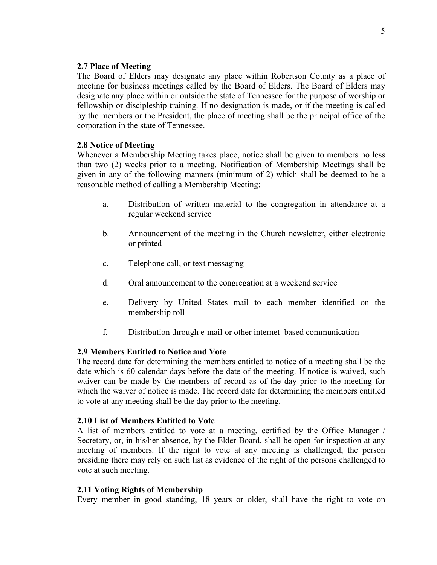2.7 Place of Meeting<br>The Board of Elders may designate any place within Robertson County as a<br>meeting for business meetings called by the Board of Elders. The Board of Eld<br>designate any place within or outside the state of 5<br>2.7 Place of Meeting<br>The Board of Elders may designate any place within Robertson County as a place of<br>meeting for business meetings called by the Board of Elders. The Board of Elders may<br>designate any place within or ou 5<br>2.7 Place of Meeting<br>The Board of Elders may designate any place within Robertson County as a place of<br>meeting for business meetings called by the Board of Elders. The Board of Elders may<br>designate any place within or ou 2.7 Place of Meeting<br>The Board of Elders may designate any place within Robertson County as a place of<br>meeting for business meetings called by the Board of Elders. The Board of Elders may<br>designate any place within or outs 5<br>**2.7 Place of Meeting**<br>The Board of Elders may designate any place within Robertson County as a place of<br>meeting for business meetings called by the Board of Elders. The Board of Elders may<br>designate any place within or **2.7 Place of Meeting**<br>The Board of Elders may designate any place within Robertson County as a place of<br>meeting for business meetings called by the Board of Elders. The Board of Elders may<br>designate any place within or ou 5<br>2.7 Place of Meeting<br>The Board of Elders may designate any place within Robertson County as a place of<br>meeting for business meetings called by the Board of Elders. The Board of Elders may<br>designate any place within or ou 2.7 Place of Meeting<br>
2.7 Place of Meeting<br>
The Board of Elders may designate any place within Robertson County as a<br>
designate any place within or outside the state of Tennessee for the purpose of word<br>
delouship or disci 2.7 Place of Meeting<br>The Board of Elders may designate any place within Robertson County as a place of<br>meeting for business meetings called by the Board of Elders. The Board of Elders may<br>designate any place within or outs 2.7 Place of Meeting<br>The Board of Elders may designate any place within Robertson County as a place of<br>meeting for business meetings called by the Board of Elders. The Board of Elders may<br>designate any place within or out 2.7 **Place of Meeting**<br>
2.7 **Place of Meeting**<br>
The Board of Elders may designate any place within Robertson County as a place of<br>
meeting for business meetings called by the Board of Elders. The Board of Elders may<br>
desi **2.7 Place of Meeting**<br> **2.7 Place of Meeting**<br>
The Board of Elders may designate any place within Robertson County as a place of<br>
Imeeting for business meetings called by the Board of Elders. The Board of Elders may<br>
desi 5<br>
accof Mecting<br>
ared of Elders may designate any place within Robertson County as a place of<br>
for business mectings called by the Board of Elders. The Board of Elders may<br>
bin or discipleship training. If no designation 5<br>
exting<br>
Elders may designate any place within Robertson County as a place of<br>
siness meetings called by the Board of Elders. The Board of Elders may<br>
lace within or outside the state of Tennessee for the purpose of wors **Example 18** and of Elders may designate any place within Robertson County as a place of for business meetings called by the Board of Elders. The Board of Elders may the team y place within or outside the state of Tennesse **Example 16** Elders may designate any place within Robertson County as a place Elders meetings called by the Board of Elders. The Board of Elders since<br>place within or outside the state of Tennessee for the purpose of wors Example the methanon of the methanon control and the called of the state of the band of Elders. The Board of Elders may be the any place within or outside the state of Tennesse for the purpose of worship or the presections

d. Construction and visual denotes the congregation is made, or if the meeting is called<br>the or discipleship training. If no designation is made, or if the meeting is called<br>tenembers or the President, the place of meeting e. The contract of the relationship counterpart of the members of the members of the state of Tennessee.<br>
The of Meeting these place, notice shall be given to members no less<br>
or (2) weeks prior to a meeting. Notification **Alternation**<br> **Alternation**<br> **Meeting**<br> **Membership Meeting takes place, notice shall be given to members no less<br>
eveeks prior to a meeting. Notification of Membership Meetings shall be<br>
f the following manners (minimum** Fraction Microsoftey and Microsoftey and the serve of Membership Meeting takes place, notice shall be given to members no less<br>o (2) weeks prior to a meeting. Notification of Membership Meetings shall be<br>all on any of the

- 
- 
- 
- 
- 
- 

2.9 Members Entitled to Notice and Vote<br>
2.9 Members Entitled to Note and Vote and Vote and Vote and Vote and Vote and Vote and Testamable method of calling a Membership Meeting:<br>
2.9 Members Entitled to Note and Vote and The record date for determining the members entitled to the members of the members entitled to the members entitled of calling a Membership Meeting:<br>
a. Distribution of written material to the congregation in attendance a denotes method of written material to the congregation in attendance at a<br>regular weekend service<br>b. Announcement of the meeting in the Church newsletter, either electronic<br>or printed<br>c. Telephone call, or text messaging<br> a. Distribution of written material to the congregation in attendance at a<br>regular weekend service<br>b. Announcement of the meeting in the Church newsletter, either electronic<br>or printed<br>c. Telephone call, or text messaging which the water and the meeting in the Church newsletter, either electronic<br>
or printed<br>
c. Telephone call, or text messaging<br>
d. Oral amouncement to the congregation at a weekend service<br>
c. Delivery by United States mail the moment of the meeting in the Church newsletter, either electronic<br>or printed<br>c. Telephone call, or text messaging<br>d. Oral announcement to the congregation at a weekend service<br>e. Delivery by United States mail to each or printed<br>
or printed<br>
or printed<br>
c. Telephone call, or text messaging<br>
d. Oral announcement to the congregation at a weekend service<br>
c. Delivery by United States mail to cach member identified on the<br>
membership roll<br>

A list of Man Manuscen and the congregation at a weekend service<br> **E** complement of the congregation at a weekend service<br> **E** complement of membership roll<br> **E** condition through e-mail or other internet-based communicat c. Telephone call, or text messaging<br>
d. Oral amouncement to the congregation at a weekend service<br>
e. Delivery by United States mail to each member identified on the<br>
membership roll<br>
f. Distribution through e-mail or ot et all the right to the control of the control of members. In the right of the right of the right of the membership roll.<br>
1. Distribution through e-mail or other internet-based communication<br>
1. Distribution through e-mai d. Oral announcement to the congregation at a weekend service<br>
e. Delivery by United States mail to each member identified on the<br>
membership roll<br>
f. Distribution through e-mail or other internet based communication<br>
2.9 volumerate at the bag of the subsect of the right of the registration of the right of the members in pole and Vote The record date for determining the members entitled to notice of a meeting shade which is 60 calendar days 2.11 Voting Rights of Membership<br>
2.11 Voting Rights of Membership<br>
2.9 Members Entitled to Notice and Vote<br>
2.9 Members Entitled to Notice and Vote<br>
2.9 Members conditate for determining the members control date of the re Every Members and The Theorem and Theorem and Theorem and Yote<br>
The record date for determining the members entitled to notice of a meeting shall be the<br>
The record date for determining the members of record as of the day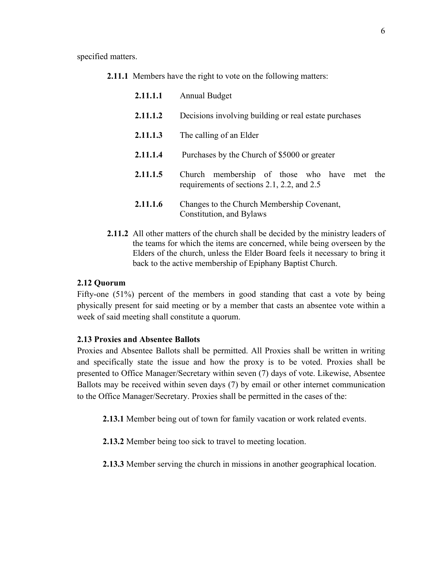|                    |                                          | 6                                                                                                                                                                                                                                                                                                                                                                    |
|--------------------|------------------------------------------|----------------------------------------------------------------------------------------------------------------------------------------------------------------------------------------------------------------------------------------------------------------------------------------------------------------------------------------------------------------------|
| specified matters. |                                          |                                                                                                                                                                                                                                                                                                                                                                      |
|                    |                                          | 2.11.1 Members have the right to vote on the following matters:                                                                                                                                                                                                                                                                                                      |
|                    | 2.11.1.1                                 | <b>Annual Budget</b>                                                                                                                                                                                                                                                                                                                                                 |
|                    | 2.11.1.2                                 | Decisions involving building or real estate purchases                                                                                                                                                                                                                                                                                                                |
|                    | 2.11.1.3                                 | The calling of an Elder                                                                                                                                                                                                                                                                                                                                              |
|                    | 2.11.1.4                                 | Purchases by the Church of \$5000 or greater                                                                                                                                                                                                                                                                                                                         |
|                    | 2.11.1.5                                 | Church membership of those who have met the<br>requirements of sections 2.1, 2.2, and 2.5                                                                                                                                                                                                                                                                            |
|                    | 2.11.1.6                                 | Changes to the Church Membership Covenant,<br>Constitution, and Bylaws                                                                                                                                                                                                                                                                                               |
|                    |                                          | 2.11.2 All other matters of the church shall be decided by the ministry leaders of<br>the teams for which the items are concerned, while being overseen by the<br>Elders of the church, unless the Elder Board feels it necessary to bring it<br>back to the active membership of Epiphany Baptist Church.                                                           |
| 2.12 Quorum        |                                          |                                                                                                                                                                                                                                                                                                                                                                      |
|                    |                                          | Fifty-one (51%) percent of the members in good standing that cast a vote by being<br>physically present for said meeting or by a member that casts an absentee vote within a<br>week of said meeting shall constitute a quorum.                                                                                                                                      |
|                    | <b>2.13 Proxies and Absentee Ballots</b> | Proxies and Absentee Ballots shall be permitted. All Proxies shall be written in writing<br>and specifically state the issue and how the proxy is to be voted. Proxies shall be<br>presented to Office Manager/Secretary within seven (7) days of vote. Likewise, Absentee<br>Ballots may be received within seven days (7) by email or other internet communication |

2.11.1.5 Church membership of those who have met the requirements of sections 2.1, 2.2, and 2.5<br>2.11.1.6 Changes to the Church Membership Covenant,<br>Constitution, and Bylaws<br>2.11.2 All other matters of the church shall be **Example 19.11.1.6** Changes to the Church Membership Covenant, Constitution, and Bylaws<br> **2.11.1.6** Changes to the Church Membership Covenant, Constitution, and Bylaws<br> **2.11.2** All other matters of the church shall be dec **2.11.1.6** Changes to the Church Membership Covenant,<br>Constitution, and Bylaws<br>**2.11.2** All other matters of the church shall be decided by the ministry leaders of<br>the teams for which the items are concerned, while being 2.11.1.6 Changes to the Church Membership Covenant,<br>
Constitution, and Bylaws<br>
2.11.2 All other matters of the church shall be decided by the ministry leaders of<br>
the teams for which the items are concerned, while being o Constitution, and Bylaws<br>
2.11.2 All other matters of the church shall be decided by the ministry leaders of the teams for which the items are concerned, while being overseen by the<br>
Elders of the church, unless the Elder 2.11.2 M onder matters of the church siant of evented by the fillms of the teams for which the items are concerned, while being oversean by the Eldcrs of the church, unless the Eldcr Board feels it necessary to bring it ba 2.13.2 Member being too sick to travel to meeting location. norum<br>
2.19%) percent of the members in good standing that cast a vote by being<br>
2.19%) present for said meeting or by a member that casts an absentee vote within a<br>
3.15 said meeting shall constitute a quorum.<br>
2.13 said

- 
- 
-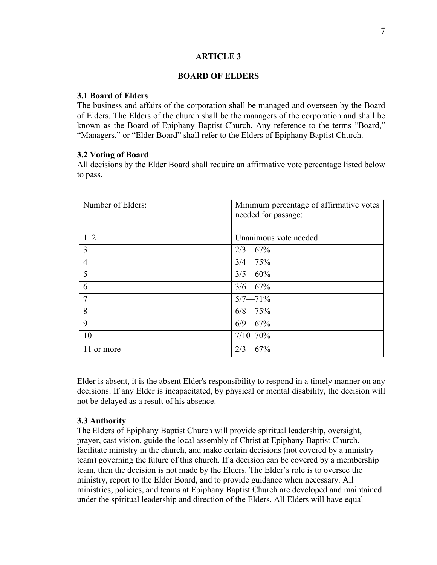7<br> **ARTICLE 3**<br> **RD OF ELDERS**<br> **Example 12 by memoral and assume by the Board** THE STRAIN OF ELDERS<br>
BOARD OF ELDERS<br>
the corporation shall be managed and overseen by the Board<br>
church shall be the managers of the corporation and shall be<br>  $\frac{1}{2}$ **ARTICLE 3**<br>**BOARD OF ELDERS**<br>**3.1 Board of Elders**<br>The business and affairs of the corporation shall be managed and overseen by the<br>of Elders. The Elders of the church shall be the managers of the corporation and<br>known as The business and affairs of the corporation shall be managed and overseen by the Board<br>The business and affairs of the corporation shall be managed and overseen by the Board<br>of Elders. The Elders of the church shall be the **Example 18 Solution Shall be Common Shall be church shall be managed and overseen by the Board of Elders.**<br>The business and affairs of the corporation shall be managers of the corporation and shall be known as the Board o ARTICLE 3<br> **BOARD OF ELDERS**<br> **BOARD OF ELDERS**<br> **REP** business and affairs of the corporation shall be managed and overseen by the Board<br>
of Elders. The Elders of the church shall be the managers of the corporation and sh **EXECT ATTELT AND ARTICLE 3**<br> **EXECT BOARD OF ELDERS**<br> **EXECT SHALL ROW SET ASSES AND ARTIFY SHALL PRESERVE SHALL ROW SPACE SHALL SHALL OF Elders. The Elders of the church shall be the managers of the corporation and shall EXECTS:**<br> **EXECTS:**<br> **EXECTS BOARD OF ELDERS**<br> **EXECTS THE DUSINESS**<br> **EXECTS THE BOARD OF ELDERS**<br> **EXECTS**<br> **EXECTS**<br> **EXECTS**<br> **EXECTS**<br> **EXECTS**<br> **EXECTS**<br> **EXECTS**<br> **EXECTS**<br> **EXECTS**<br> **EXECTS**<br> **EXECTS**<br> **EXECTS**<br> **ARTICLE 3**<br> **BOARD OF ELDERS**<br> **ALL BOARD OF ELDERS**<br> **ALL DECISES**<br> **ALL DECISES**<br> **ALL DECISES**<br> **ALL DECISES**<br> **EXECUTE AND SHALL REFORE AND SECT AND SECT AND SECT BOARD AFTOM BY CHOPER AFTOM AND HERE TO AFTOM THANGES. EXECTS ANTICLE 3**<br> **EXECUTE: BOARD OF ELDERS**<br> **EXECUTE: SAMP OF ELDERS**<br>
The business and affairs of the corporation shall be managed and over<br>
of Elders. The Elders of the church shall be the managers of the corpora

|                                 | 7                                                                                                                                                                                                                                                                                                                                                               |
|---------------------------------|-----------------------------------------------------------------------------------------------------------------------------------------------------------------------------------------------------------------------------------------------------------------------------------------------------------------------------------------------------------------|
|                                 | <b>ARTICLE 3</b>                                                                                                                                                                                                                                                                                                                                                |
|                                 | <b>BOARD OF ELDERS</b>                                                                                                                                                                                                                                                                                                                                          |
|                                 |                                                                                                                                                                                                                                                                                                                                                                 |
| <b>3.1 Board of Elders</b>      | The business and affairs of the corporation shall be managed and overseen by the Board<br>of Elders. The Elders of the church shall be the managers of the corporation and shall be<br>known as the Board of Epiphany Baptist Church. Any reference to the terms "Board,"<br>"Managers," or "Elder Board" shall refer to the Elders of Epiphany Baptist Church. |
| 3.2 Voting of Board<br>to pass. | All decisions by the Elder Board shall require an affirmative vote percentage listed below                                                                                                                                                                                                                                                                      |
| Number of Elders:               | Minimum percentage of affirmative votes<br>needed for passage:                                                                                                                                                                                                                                                                                                  |
| $1 - 2$                         | Unanimous vote needed                                                                                                                                                                                                                                                                                                                                           |
| $\mathfrak{Z}$                  | $2/3 - 67\%$                                                                                                                                                                                                                                                                                                                                                    |
| $\overline{4}$                  | $3/4 - 75%$                                                                                                                                                                                                                                                                                                                                                     |
| $\mathfrak{S}$                  | $3/5 - 60\%$                                                                                                                                                                                                                                                                                                                                                    |
| 6                               | $3/6 - 67%$                                                                                                                                                                                                                                                                                                                                                     |
| $\tau$                          | $5/7 - 71\%$                                                                                                                                                                                                                                                                                                                                                    |
| 8                               | $6/8 - 75%$                                                                                                                                                                                                                                                                                                                                                     |
| 9                               | $6/9 - 67%$                                                                                                                                                                                                                                                                                                                                                     |
| 10                              | $7/10 - 70%$                                                                                                                                                                                                                                                                                                                                                    |
| 11 or more                      | $2/3 - 67\%$                                                                                                                                                                                                                                                                                                                                                    |

 $\frac{3/6-6}{7}$ <br>  $\frac{5/7-11\%}{8}$ <br>
8 6/8-75%<br>
9 6/9-67%<br>
10 7/10-70%<br>
11 or more 223-67%<br>
Elder is absent, it is the absent Elder's responsibility to respond in a timely manner on any<br>
decisions. If any Elder is incapacitat  $\frac{5/7-71\%}{8}$ <br>  $\frac{6/8-75\%}{7/10-70\%}$ <br>
10  $\frac{6/9-67\%}{7/10-70\%}$ <br>
11 or more<br>
2/3-67%<br>
Elder is absent, it is the absent Elder's responsibility to respond in a timely manner on any<br>
decisions. If any Elder is incap  $\frac{6}{9}$   $\frac{6}{9}$   $\frac{6}{9}$   $\frac{6}{9}$   $\frac{6}{9}$   $\frac{6}{9}$   $\frac{7}{10}$   $\frac{7}{10}$   $\frac{7}{10}$   $\frac{7}{10}$   $\frac{7}{10}$   $\frac{7}{10}$   $\frac{7}{10}$   $\frac{7}{10}$   $\frac{7}{10}$   $\frac{7}{10}$   $\frac{7}{10}$   $\frac{7}{10}$   $\frac{7}{10}$   $\frac{7}{10}$   $\frac{7}{1$ **9**<br> **10**<br> **10**<br> **11** or more<br> **11** or more<br> **12**  $\frac{1}{2}$   $\frac{1}{2}$   $\frac{1}{6}$  and Elder's responsibility to respond in a timely manner on any<br>
decisions. If any Elder is incapacitated, by physical or mental disability,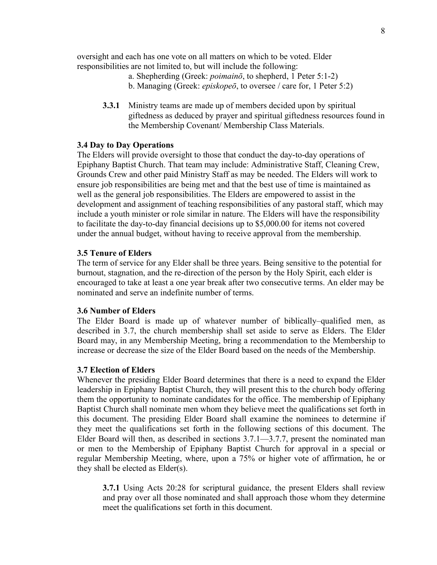8<br>oversight and each has one vote on all matters on which to be voted. Elder<br>responsibilities are not limited to, but will include the following:<br>a. Shepherding (Greek: *episkopeō*, to shepherd, 1 Peter 5:1-2)<br>b. Managing 8<br>oversight and each has one vote on all matters on which to be voted. Elder<br>responsibilities are not limited to, but will include the following:<br>a. Shepherding (Greek: *poimainō*, to shepherd, 1 Peter 5:1-2)<br>b. Managing (

- 
- 8<br>ach has one vote on all matters on which to be voted. Elder<br>are not limited to, but will include the following:<br>a. Shepherding (Greek: *poimainō*, to shepherd, 1 Peter 5:1-2)<br>b. Managing (Greek: *episkopeō*, to oversee / <sup>8</sup><br>
ach has one vote on all matters on which to be voted. Elder<br>
are not limited to, but will include the following:<br>
a. Shepherding (Greek: *episkopeō*, to oversee / care for, 1 Peter 5:2)<br>
b. Managing (Greek: *episkopeō* <sup>3.</sup><br>
8.<br>
3.1 Ministry teams are mot limited to, but will include the following:<br>
3.3.1 Ministry teams are made up of members decided upon by spiritual<br>
3.3.1 Ministry teams are made up of members decided upon by spiritual 8<br>ach has one vote on all matters on which to be voted. Elder<br>are not limited to, but will include the following:<br>a. Shepherding (Greek: *poimainō*, to shepherd, 1 Peter 5:1-2)<br>b. Managing (Greek: *episkopeō*, to oversee 8<br>
ach has one vote on all matters on which to be voted. Elder<br>
are not limited to, but will include the following:<br>
a. Shepherding (Greek: *episkopeō*, to oversee / care for, 1 Peter 5:1-2)<br>
b. Managing (Greek: *episkopeō*

oversight and each has one vote on all matters on which to be voted. Elder<br>responsibilities are not limited to, but will include the following:<br>a. Shepherding (Greek: *epishopeō*, to oversee / care for, 1 Peter 5:1-2)<br>b. Solution and each has one vote on all matters on which to be voted. Elder<br>responsibilities are not limited to, but will include the following:<br>a. Shepherding (Greek: *poimainō*, to shepherd, 1 Peter 5:1-2)<br>b. Managing (Gr Epidem and each has one vote on all matters on which to be voted. Elder<br>
responsibilities are not limited to, but will include the following:<br>
a. Shepherding (Greek: *episkopeō*, to oversee / care for, 1 Peter 5:1-2)<br>
b. Soversight and each has one vote on all matters on which to be voted. Elder<br>
responsibilities are not limited to, but will include the following:<br>
a. Shepherding (Greek: *episkopeõ*, to oversee / care for, 1 Peter 5:1-2)<br> exponsibilities are not limited to, but will include the following:<br>
as Shepherding (Greek: *pointainō*, to shepherd, 1 Peter 5:1-2)<br>
b. Managing (Greek: *epishopeō*, to oversee / care for, 1 Peter 5:2)<br> **3.3.1** Ministry 8<br>wersight and each has one vote on all matters on which to be voted. Elder<br>responsibilities are not limited to, but will include the following:<br>a. Shepherding (Greek: *episkopeō*, to oversee / care for, 1 Peter 5:2)<br>b. M 8<br>
syncessiplities are not limited to, but will include the following:<br>
a. Shepherding (Greek: *poimainō*, to shepherd, 1 Peter 5:1-2)<br>
b. Managing (Greek: *epishopeō*, to oversee / care for, 1 Peter 5:2)<br> **3.3.1** Ministr <sup>8</sup><br>
8<br>
Noversight and each has one vote on all matters on which to be voted. Elder<br>
responsibilities are not limited to, but will include the following:<br>
a Shephedring (Greck: *epishopeō*, to oversec / care for, 1 Peter 5 oversight and each has one vote on all matters on which to be voted. Elder<br>responsibilities are not limited to, but will include the following:<br>a. Shepherding (Greek: *episkopeō*, to oversee / care for, 1 Peter 5:1-2)<br>b. M oversight and each has one vote on all matters on which to be voted. Elder<br>responsibilities are not limited to, but vill include the following:<br>a. Shepherding (Greek: *epishapeā*, to eversee / care for, 1 Peter 5:1-2)<br>b. M **Example 18.1** and the medal (Greek: *poimainō*, to shepherd, 1 Peter 5:1-2)<br> **a.** Shepherding (Greek: *poimainō*, to shepherd, 1 Peter 5:2)<br> **b.** Managing (Greek: *episkopeō*, to oversec / care for, 1 Peter 5:2)<br> **3.3.1 Example 10 Example 1 Constraine**, someonlay to suppose the constrained and spiritual giftedness as deduced by prayer and spiritual giftedness resources found in the Membership Covenant/ Membership Class Materials.<br> **3.3.1** Minitary teams are made up of members decided upon by spiritual<br>giftedness as deduced by prayer and spiritual giftedness resources found in<br>the Membership Covenant/ Membership Class Materials.<br>**3.4 Day to Day Oper** 3.3.1 Ministry teams are made up of members decided upon by spiritual<br>giftedness as deduced by prayer and spiritual giftedness resources found in<br>the Membership Covenant/ Membership Class Materials.<br>3.4 **Day to Day Operat** nominated and server and spiritual giftedness as deduced by prayer and spiritual giftedness resources found in<br>the Membership Covenant/ Membership Class Materials.<br>
3.4 Day Operations<br>
The Elders will provide oversight to 3.4 Day to Deperation well be the day-to-day operations<br>The Elders will provide oversight to those that conduct the day-to-day operations of<br>The Elders will provide oversight to those that conduct the day-to-day operations **3.4 Day to Day Operations**<br>The Elders will provide oversight to those that conduct the day-to-day operations of<br>Epiphany Baptist Church. That team may include: Administrative Staff, Cleaning Crew,<br>Grounds Crew and other p 3.5 Now to Day operations<br>
we have the Elders will provide oversight to those that conduct the day-to-day operations of<br>
Epiphany Baptist Church. That team may include: Administrative Staff, Cleaning Crew,<br>
Grounds Crew a Incelais wir provide oversign to unsee in at conduct une vap-to-any perianos of Epiphany Baptist Church. That team may include: Administrative Staff, Cleaning Crew, Grounds Crew and other paid Ministry Staff as may be need Epplany Daptist Cutatic and the mean may method to the main may method of the size of the size of the size of the size of the size of the size of the size of the size of the size of the size of the size of the size of the Ensue por tesponsibilities are complement and under the ostes for the minimal consisted and the well as the general job responsibilities. The Elders are empowered to assist in the development and assignment of teaching res

We are stellered in S.7, the church mental of teratios are emplowed to assist in the endeady of exponsibilities of any pastoral staff, which may include a youth minister or role similar in nature. The Elders will have the development and assegument of teaching responsibility include a youth minister or role similar in nature. The Elders will have the responsibility to facilitate the day-to-day financial decisions up to \$5,000.00 for items n nothede a your mimster of to es similar in matter. The classes win have the sesponsionly to facilitate the day-to-day financial decisions up to \$5,000.00 for items not covered under the annual budget, without having to ne o adminate the day-to-usy mannear decisions up to 3,5,000,00 of theirs into covered under the amual budget, without having to receive approval from the membership.<br>
3.5 Tenure of Elders<br>
The term of service for any Elder s 3.7 Fluerter and the reading to receive approvant nontine ineminessing.<br>
3.5 Tenure of Elders for any Elder shall be three years. Being sensitive to the potential for<br>
burnout, stagnation, and the re-direction of the perso **3.5 Tenure of Elders**<br>The term of service for any Elder shall be three years. Being sensitive to the potential for<br>burnout, stagnation, and the re-direction of the person by the Holy Spirit, each elder is<br>burnout, stagna 3.7 Felaction of Elder Share Board will be three years. Being sensitive to the potential for burnout, stagnation, and the re-direction of the person by the Holy Spirit, each elder is encouraged to take at least a one year The term or sevole to that plates same the three years, henny scheme the phembership of the model in the model in the model in the model in the model in the model in the model in the model in the Helper Scheme The model in outhout, sagnator, and the re-concerno of the peasar of the peace of a first steal is the concerning and serve an indefinite number of terms. An electromated and serve an indefinite number of terms.<br>
3.6 **Number of Elders** encouraged to acke at least a done year break and two consecutive terms. An eder may be noninated and serve an inchinite number of terms.<br> **3.6 Number of Elders**<br>
The Elder Board is made up of whatever number of biblically mber of Elders<br>der Board is made up of whatever number of biblically-qualified men, as<br>der ban 3.7, the church membership shall set aside to serve as Elders. The Elder<br>hangy, in any Membership Meeting, bring a recommendati more of biblically-qualified men, as<br>der Board is made up of whatever number of biblically-qualified men, as<br>d in 3.7, the church membership shall set aside to serve as Elders. The Elder<br>or of exercase the size of the Elde ear Loudin The children is made to the momental of the children's that the children's that is and the may, in any Membership Meeting, bring a recommendation to the Membership to er decrease the size of the Elder Board base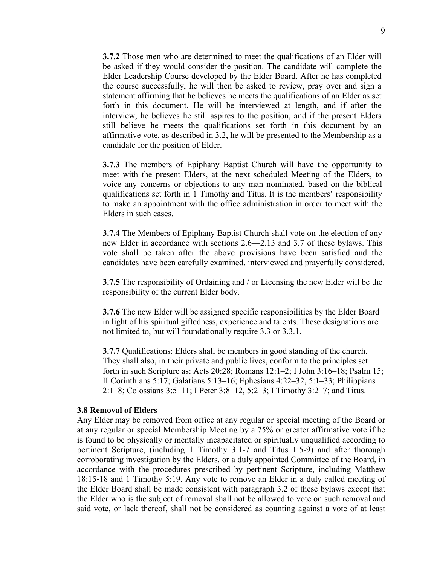3.7.2 Those men who are determined to meet the qualifications of an Elder will<br>be asked if they would consider the position. The candidate will complete the<br>Elder Leadership Course developed by the Elder Board. After he ha 3.7.2 Those men who are determined to meet the qualifications of an Elder will<br>be asked if they would consider the position. The candidate will complete the<br>Elder Leadership Course developed by the Elder Board. After he ha 3.7.2 Those men who are determined to meet the qualifications of an Elder will<br>be asked if they would consider the position. The candidate will complete the<br>Elder Leadership Course developed by the Elder Board. After he ha 9<br>3.7.2 Those men who are determined to meet the qualifications of an Elder will<br>be asked if they would consider the position. The candidate will complete the<br>Elder Leadership Course developed by the Elder Board. After he 3.7.2 Those men who are determined to meet the qualifications of an Elder will be asked if they would consider the position. The candidate will complete the Elder Leadership Course developed by the Elder Board. After he h **3.7.2** Those men who are determined to meet the qualifications of an Elder will be asked if they would consider the position. The candidate will complete the Elder Leadership Course developed by the Elder Board. After he **3.7.2** Those men who are determined to meet the qualifications of an Elder will be asked if they would consider the position. The candidate will complete the Edder Ledership Course developed by the Elder Board. After the 3.7.2 Those men who are determined to meet the qualifications of an Elder will<br>be asked if they would consider the position. The candidate will complete the<br>Elder Leadership Course developed by the Elder Board. After he h 3.7.2 Those men who are determined to meet the qualifications of an Elder will<br>be asked if they would consider the position. The candidate will complete the<br>Elder Leadership Course developed by the Elder Board. After he h 3.7.2 Those men who are determined to meet the qualifications of an Elder will<br>be asked if they would consider the position. The candidate will complete the<br>Elder Leadership Course developed by the Elder Board. After he h 3.7.2 Those men who are determined to meet the qualifications of an Elder will<br>be asked if they would consider the position. The candidate will complete the<br>Elder Leadership Course developed by the Elder Board. After he h 3.7.2 Those men who are determined to meet the qualifications of an Elder will<br>be asked if they would consider the position. The candidate will complete the<br>Elder Leadership Course developed by the Elder Board. After he h 37.2 Those men who are determined to meet the qualifications of an Elder will<br>be asked if they would consider the position. The candidate will complete the<br>Elder Leadership Course developed by the Elder Board. After he ha 3.7.2 Those men who are determined to meet the qualifications of an Elder will<br>be asked if they would consider the position. The candidate will complete the<br>Elder Leadership Course developed by the Elder Board. After he h 3.7.2 Those men who are determined to meet the qualifications of an Elder will consel<br>second if they would consider the position. The candidate will complete the<br>Elder Leadership Course developed by the Elder Board. After 3.7.2 Those men who are determined to meet the qualifications of an Elder will<br>be asked if they would consider the position. The candidate will complete the<br>Elder Leadership Course developed by the Elder Board. After he h 3.7.2 Those men who are determined to meet the qualifications of an Elder will<br>be asked if they would consider the position. The candidate will complete the<br>Elder Leadership Course developed by the Elder Board. After he h not a the course more in the comminator of the Elder Bostion. The candidate will complete the bilder Leadership Course developed by the Elder Board. After he has completed Elder Leadership Course developed by the Elder Bo so cance in the y worse entable the position. The vandance win completed the course successfully, he will then be asked to review, pray over and sign a that the course successfully, he will then be asked to review, pray ov The course successfully, he will then be asked to review, pray over and sign a<br>tatement affirming that he believes he meets the qualifications of an Elder as set<br>forth in this document. He will be interviewed at length, a

statement arimming units of Critical solutions of an inclusion of the interviewed at length, and if after the interview, he believes he still aspires to the position, and if the present Elders is the interview, he believes interview, he believes he still aspires to the position, and if the present Elders<br>interview, he believes he still aspires to the position, and if the present Elders<br>still believe he meets the qualifications set forth in 3.7.3 The new Elder will be assigned specific responsibilities by the Elder Board of this size, the new Elder will have the opportunity to meet with the present Elders, at the next scheduled Meeting of the Elders, to weare in animative voir, as assessived in J. 2, the min of possibled of the position of Elder.<br>
3.7.3 The members of Epiphany Baptist Church will have the opportunity to meet with the present Elders, at the next scheduled Meetin **3.7.3** The members of Epiphamy Baptist Church will have the opportunity to meet with the present Edders, at the next scheduled Meeting of the Elders, to woice any concerns C objections to any man nominated, based on the 3.7.4 The members or supposity bands culton than the displanting for mediation and the member with the present Elders, at the next scheldled Meeting of the Elders, to voice any concerns or objections to any man nominated,

meant of the present External also, in the mean solution of the means of voice any concerns or objections to any man nominated, based on the biblical qualifications set forth in 1 Timothy and Titus. It is the members' res Forth in such Scripture as: Acts 20:28; Romans 12:1–2; I John 3:16–18; Psalm 15; II Corinthian s 5:13–11; Technomic Scripture as: Acts 20:28; Romans 12:1–2; I John 3:16–18; Colosians 3:5–11; II Corinthian s 5:13–16; Colos quantiticalism of the method of the method of the Blatism state is the method of the Blatism state is such cases.<br>
3.7.4 The Members of Epiphany Baptist Church shall vote on the election of any new Elder in accordance with 13.7.4 The Nearly and Homelian is the method of Elders in such cases.<br>
13.7.4 The Members of Epiphany Baptist Church shall vote on the election of any<br>
new Elder in accordance with sections 2.6—2.13 and 3.7 of these bylaws **3.7.4** The Members of Epiphany Baptist Church shall vote on the election of<br>new Elder in accordance with sections 2.6—2.13 and 3.7 of these bylaws.<br>vote shall be taken after the above provisions have been satisfied and<br>c

International method computers and the removed from or the statement or the continue of the removed shall be taken after the above provisions have been satisfied and the candidate have be removed in expections and or clien at a between the statement of the statement and  $\alpha$  or the statement is conditioned and the candidates have been carefully examined, interviewed and prayerfully considered.<br>3.7.5 The responsibility of Ordaining and  $\alpha$  From the matrix of control or mentally examined, interviewed and prayerfully considered.<br>
3.7.5 The responsibility of Ordaining and / or Licensing the new Elder will be the responsibility of the current Elder body.<br>
3.7.6 examples are vector durating varianced, and  $\alpha$  relation in programs and  $\alpha$  responsibility of the current Elder body.<br>
3.7.6 The new Elder will be assigned specific responsibilities by the Elder Board in light of his s 3.7.5 The responsibility of Ordaining and / or Licensing the new Elder will be the responsibility of the current Elder body.<br>
3.7.6 The new Elder will be assigned specific responsibilities by the Elder Board<br>
in light of according the procedure with the assigned specific responsibility of the current Elder bidy.<br>
3.7.6 The new Elder will be assigned specific responsibilities by the Elder Board<br>
in light of his spiritual giftedness, experi 18:15. The new Elder will be assigned specific responsibilities by the Elder Board<br>
in light of his spiritual giftedness, experience and talents. These designations are<br>
not limited to, but will foundationally require 3.3 **3.7.6** The new Elder will be assigned specific responsibilities by the Elder Board<br>in light of his spiritual giftedness, experience and talents. These designations are<br>not imitted to, but will foundationally require 3.3 in light of his spiritual giftedness, experience and talents. These designations are<br>not limited to, but will foundationally require 3.3 or 3.3.1.<br>3.7.7 Qualifications: Elders shall be members in good standing of the chur say or May promotions: Holer say and the members in pool standing of the church.<br>
1 and think to, but will foundationally require 3.3 or 3.3.1.<br>
3.7.7 Qualifications: Elders shall be members in good standing of the church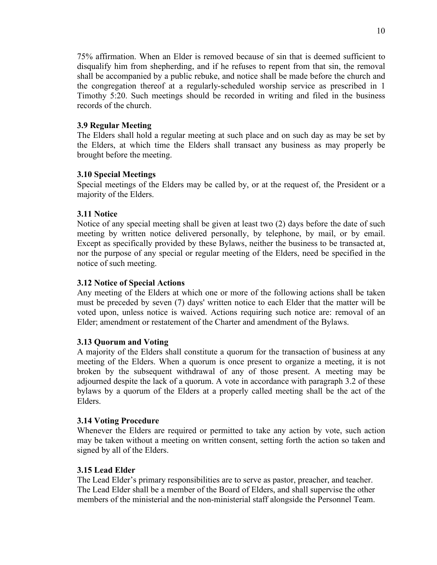10<br>75% affirmation. When an Elder is removed because of sin that is deemed sufficient to<br>disqualify him from shepherding, and if he refuses to repent from that sin, the removal<br>shall be accompanied by a public rebuke, and 10<br>75% affirmation. When an Elder is removed because of sin that is deemed sufficient to<br>disqualify him from shepherding, and if he refuses to repent from that sin, the removal<br>shall be accompanied by a public rebuke, and 10<br>35% affirmation. When an Elder is removed because of sin that is deemed sufficient to<br>disqualify him from shepherding, and if he refuses to repent from that sin, the removal<br>shall be accompanied by a public rebuke, and the congregation thereof at a regularly-scheduled worship service as prescribed in 1 The 100 to the method of the method in the term of the business should be recorded in the term of the disqualify him from shepherding, and if he refuses to repent from that sin, the removal shall be accompanied by a public 75% affirmation. When an Elder is removed because of sin that is deemed suffid<br>isqualify him from shepherding, and if he refuses to repent from that sin, the r<br>shall be accompanied by a public rebuke, and notice shall be m 75% affirmation. When an Elder is removed because of sin that is deemed suf<br>disqualify him from shepherding, and if he refuses to repent from that sin, the<br>shall be accompanied by a public rebuke, and notice shall be made 10<br>
T5% affirmation. When an Elder is removed because of sin that is deemed sufficient to<br>
disqualify him from shepherding, and if he refuses to repent from that sin, the removal<br>
shall be accompanied by a public rebuke, a 10<br>
10<br>
10<br>
10<br>
10<br>
10<br>
10<br>
10<br>
10<br>
disqualify him from shepherding, and if he refuses to repent from that sin, the removal<br>
shall be accompanied by a public rebuke, and notice shall be made before the church and<br>
the cong (19%) 17% affirmation. When an Elder is removed because of sin that is deemed sufficient<br>disqualify him from shepherding, and if he refuses to repent from that sin, the remo<br>shall be accompanied by a public rebuke, and not 75% affirmation. When an Elder is removed because of sin that is deemed suff<br>disqualify him from shepherling, and if he refuses to repent from that sin, the<br>shall be accompanied by a public rebuke, and notice shall be made 10<br>
10<br>
10<br>
10<br>
35% affirmation. When an Elder is removed because of sin that is deemed sufficient to<br>
disqualify him from shepherding, and if he refuses to repent from that sin, the removal<br>
the congregation thereof at a 75% affirmation. When an Elder is removed because of sin that is deemed suffic<br>disquality him from shepherding, and if he refuses to repent from that sin, the re<br>shall be accompanied by a public rebuke, and notice shall be 75% affirmation. When an Elder is removed because of sin that is decidisqualify him from shepherding, and if he refuses to repent from that shall be accompanied by a public rebuke, and notice shall be made before the congr 75% affirmation. When an Elder is removed because of sin that is decemed sufficient to disqualify him from shepherding, and if he refuses to repent from that sin, the removal shall be accompanied by a public rebuke, and no 75% affirmation. When an Elder is removed because of sin that is deemed sufficient to disqualify him from shepherding, and if he refuses to repent from that sin, the removal shall be accompanied by a public rebuke, and not Experimentation and provided by a policy relation of the state of the change of the change of the change of the change of the change of the change of the change of the change of the change of the change of the change of t

nor the method of any special meetings and the purpose of the Elders any state of any special or regular meeting should be recorded in writing and filed in the church and Timothy 5:20. Such meetings should be recorded in w man of decomparated or y point reducts, and noted and or man of the congregation thereof at a regularly-scheduled worship service as prescribe<br>Timothy 5:20. Such meetings should be recorded in writing and filed in the beco Transary of the church.<br> **2.9 Regular Meeting**<br> **3.9 Regular Meeting**<br>
The Elders shall hold a regular mecting at such place and on such day as may be set by<br>
the Elders shall hold a regular mecting at such place and on su **3.9 Regular Meeting**<br> **3.9 Regular Meeting**<br> **3.9 Regular Meeting**<br> **The Elders** shall hold a regular meeting at such place and on such day as may properly be<br>
the Elders, at which time the Elders shall transact any busi 3.12 Regular Meeting<br>The Elders shall hold a regular meeting at such place and on such day as may be set by<br>the Elders, at which time the Elders shall transact any business as may properly be<br>brought before the meeting.<br>3. voted metals are the Elders shall bad a regular meeting at such place and on such day as may be set by the Elders, at which time the Elders shall transact any business as may properly be brought before the meting.<br>
3.10 Sp The Elders, amendment or elegation and the Elders shall constrained unto the mental of the Elders, at which time the Elders shall transact any business as may properly be brought before the meeting.<br>
3.10 Special meetings 3.13 Special meeting.<br>
3.10 Special meetings of the Elders may be called by, or at the request of, the President on<br>
majority of the Elders.<br>
Notice of any special meeting shall be given at least two (2) days before the d

**3.10 Special Meetings**<br>Special meetings of the Elders may be called by, or at the request of, the President or a<br>majority of the Elders.<br>All **Notice**<br>of any special meeting shall be given at least two (2) days before the **EXECT THE SET THE SET THE SET THANGES AND THE SET THANGES OF SPECIAL THEORS OF A CHONGE OF ANY SUCTOR THEORS.** All **Notice** of any special meeting shall be given at least two (2) days before the date of such homeorting b by written by the method of the Elders.<br> **Broken by the subsequent with the subset of any special method by the subset of any special method by wither those present.** With the subset of such analities expected by written and Morel Constraines and Hotel Constraines and Hotel Constraines and Norice of a quorum. A vote in accordance that the set a secondisty provided by these Bylaws, neither the business to be transacted at, the constrained b **3.11 Notice**<br>Notice of any special meeting shall be given at least two (2) days before the date of such<br>meeting by written notice delivered personally, by telephone, by mail, or by email.<br>Except as specifically provided Elders. Except as specifically provided by these Bylaws, neither the business to be transmitted Except as specifically provided by these Bylaws, neither the business to be transmor the purpose of any special or regular meeting of Shops are operator, provided or person of the Elders, the case of the Elders, median to the purpose of such meeting.<br> **3.12 Notice of Special Actions**<br> **3.12 Notice of Special Actions**<br> **Any** meeting of the Elders at whic may be the state of such meeting of the Elders and the state of such meeting.<br>
Any meeting of the Elders at which one or more of the following actions shall be taken motive by recorded by seven (7) days' written notice to S.12 Notice of Special Actions<br>
Any meeting of the Elders at which one or more of the following actions shall be taken<br>
Any meeting of the Elders at which one or more of the following actions shall be taken<br>
must be preced **Example 12.1** Numeron Schem Frequired The Lead Elders of the Elders of expecting of the Elders at which one or more of the following actions hand woted upon, unless notice is waived. Actions requiring such notice are: rem For incensing of the Traderical particles are to serve a server of the Bohroug actions are to the statement of the Elder's memative precided by several (7) days written notice to each Elder that the matter will be voted u move presents of social control of the Charter and member of the Board and the are interest and the Elder; annealment or restatement of the Charter and amendment of the Bylaws.<br> **3.13 Quorum and Voting**<br> **3.13 Quorum and V** Total Elder; annel and Voting Hotel Charter and annel and the Dilater, annel and Voting A majority of the Elders shall constitute a quorum for the transaction of business at any meeting of the Elders. When a quorum is once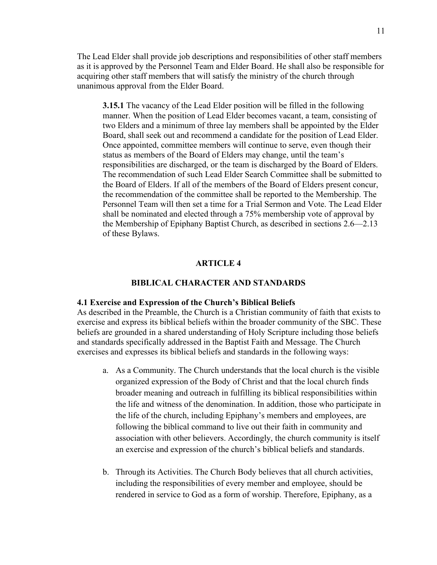11<br>The Lead Elder shall provide job descriptions and responsibilities of other staff members<br>as it is approved by the Personnel Team and Elder Board. He shall also be responsible for<br>acquiring other staff members that will 11<br>
The Lead Elder shall provide job descriptions and responsibilities of other staff members<br>
as it is approved by the Personnel Team and Elder Board. He shall also be responsible for<br>
acquiring other staff members that w 11<br>
The Lead Elder shall provide job descriptions and responsibilities of other staff members<br>
as it is approved by the Personnel Team and Elder Board. He shall also be responsible for<br>
acquiring other staff members that w 11<br>
11<br>
11<br>
The Lead Elder shall provide job descriptions and responsibilities of other staff members<br>
as it is approved by the Personnel Team and Elder Board. He shall also be responsible for<br>
acquiring other staff member

<sup>11</sup><br>3.11 Ad Elder shall provide job descriptions and responsibilities of other staff members<br>approved by the Personnel Team and Elder Board. He shall also be responsible for<br>3.15.1 The vacancy of the Lead Elder position w 11<br>ad Elder shall provide job descriptions and responsibilities of other staff members<br>approved by the Personnel Team and Elder Board. He shall also be responsible for<br>g other staff members that will satisfy the ministry o 11<br>
And Elder shall provide job descriptions and responsibilities of other staff members<br>
approved by the Personnel Team and Elder Board. He shall also be responsible for<br>
g other staff members that will satisfy the minist 11<br>
ad Elder shall provide job descriptions and responsibilities of other staff members<br>
apporoed by the Personnel Team and Elder Board. He shall also be responsible for<br>
apporent staff members that will satisfy the minist 11<br>
ad Elder shall provide job descriptions and responsibilities of other staff members<br>
approved by the Personnel Team and Elder Board. He shall also be responsible for<br>
g other staff members that will satisfy the ministr 11<br>ad Elder shall provide job descriptions and responsibilities of other staff members<br>proved by the Personnel Team and Elder Board. He shall also be responsible for<br>provide by the Personnel Team and Elder Board.<br>**3.15.1** 11<br>
11<br>
11<br>
ad Elder shall provide job descriptions and responsibilities of other staff members<br>
approved by the Personnel Team and Elder Board. He shall also be responsible for<br>
ng other staff members that will satisfy th 11<br>
11<br>
11<br>
11<br>
21 Holder shall provide job descriptions and responsibilities of other staff members<br>
approved by the Personnel Team and Elder Board. He shall also be responsible for<br>
21 Host star members that will satisfy 11<br>
11<br>
11<br>
11 dd Elder shall provide job descriptions and responsibilities of other staff members<br>
approved by the Personnel Team and Elder Board. He shall also be responsible for<br>
11 dotter staff members that will satis 11<br>
11<br>
11<br>
11<br>
and Elder shall provide job descriptions and responsibilities of other staff members<br>
approved by the Personnel Team and Elder Board. He shall also be responsible for<br>
ous approval from the Elder Board.<br>
3. 11<br>
11<br>
11<br>
and Elder shall provide job descriptions and responsibilities of other staff members<br>
ng other staff members that will satisfy the ministry of the church through<br>
ous approval from the Elder Board.<br>
3.15.1 The 11<br>
11<br>
11<br>
and Elder shall provide job descriptions and responsibilities of other staff members<br>
approved by the Personnel Team and Elder Board. He shall also be responsible for<br>
ous approval from the Elder Board.<br>
3.15.1 ad Elder shall provide job descriptions and responsibilities of other staff members<br>approved by the Personnel Team and Elder Board. He shall also be responsible for<br>g other staff members that will satisfy the ministry of t and Elder shall provide job descriptions and responsibilities of other staff mem<br>approved by the Personnel Team and Elder Board. He shall also be responsible<br>gother staff members that will satisfy the ministry of the churc The Bard Content of the Billed in the following<br>
F Board.<br>
The Board.<br>
Lead Elder position will be filled in the following<br>
of Lead Elder becomes vacant, a team, consisting of<br>
or dhree lay members shall be appointed by th he vacancy of the Lead Elder position will be filled in the following<br>
When the position of Lead Elder becomes vacant, a team, consisting of<br>
Simular of three lay members shall be appointed by the Elder<br>
India seck out and mannon are a the control of the Church's Biblical Beliefs and standards to the pointed by the Elder<br>
Board, shall seek out and recommend a candidate for the position of Lead Elder.<br>
Once appointed, committee members will c As described in the Preamble, the Church's and Christian community of faith that acts are proported, committee members will contribute to serve, even though their status as members of the Board of Elders may change, until From the Secretist and Hotel Controllers are the Board of Elders may change, until the team's distance appointed, committee members will continue to serve, even though their<br>status as members of the Board of Elders may ch belief are discussed in a shared in a shared with the team is shared with the team is responsibilities are discharged, or the team is discharged by the Board of Elders. The recommendation of such Lead Elder Scarch Committe and standards solution of such and standards shared the Band of Elders.<br>
The recommendation of such Lead Elder Search Committee shall be submitted to<br>
the Board of Elders. If all of the members of the Board of Elders prese expression of such Lead Elder Search Committee shall be submitted to<br>the Board of Elders If all of the members of the Board of Elders present concur.<br>the recommendation of the committee shall be reported to the Membership. a. As a Community. The Church understands that the local church is the Demonstrate of the recommendation of the committee shall be reported to the Membership. The Personnel Team will then set a time for a Trial Sermon and

- **Expression of the Solution of the Solution** of the Christopher Christopher Christian of the Dilbert of approval by Membership of Epiphany Baptist Church, as described in sections 2.6—2.13<br>
See Bylaws.<br> **ARTICLE 4**<br> **BIBLI** II be nominated and elected through a 75% membership vote of approval by<br>Membership of Epiphany Baptist Church, as described in sections 2.6—2.13<br>hese Bylaws.<br>**ARTICLE 4**<br>**BIBLICAL CHARACTER AND STANDARDS**<br>**ARTICLE 4**<br>**BIB** Membership of Epiphany Baptist Church, as described in sections 2.6—2.13<br>
these Bylaws.<br>
ARTICLE 4<br>
BIBLICAL CHARACTER AND STANDARDS<br>
ie and Expression of the Church's Biblical Beliefs<br>
dim the Preamble, the Church is a Ch **ARTICLE 4**<br>**BIBLICAL CHARACTER AND STANDARDS**<br>**c** and **Expression of the Church**'s **Biblical Beliefs**<br>d in the Preamble, the Church is a Christian community of faith that exists to<br>d express its biblical beliefs within th **EXECT ANTICLE 4**<br>**EXECTS AND STANDARDS**<br>**EXECTS AND STANDARDS**<br>**EXECTS AND EXECTS ABUTE AND STANDARDS**<br>**EXECTS AND ADDISFONS** TRIMITED AND SURVENT TO A THE PROPOSE TO A THE PROPOSE IS is biblical beliefs within the broade **ARTICLE 4**<br>**BIBLICAL CHARACTER AND STANDARDS**<br>ce and Expression of the Church's Biblical Beliefs<br>of in the Precambeic, the Church is a Christian community of faith that exists to<br>d express its biblical beliefs within the **BIBLICAL CHARACTER AND STANDARDS**<br> **Exercise and Expression of the Church**'s **Biblical Beliefs**<br>
din the Preamble, the Church is a Christian community of faith that exists to<br>
de cxpress its biblical beliefs within the br **Example 12** and **Expression of the Church's Biblical Beliefs**<br>
beliefs in the Preamble, the Church is a Christian community of faith that exists to<br>
e and express its biblical beliefs within the broader community of the S ie and Expression of the Church's Biblical Beliefs<br>
di ch in the Preambele, the Church is a Christian community of faith that exists to<br>
di express its biblical beliefs within the broader community of the SBC. These<br>
groun rend in the Preamble, the Church is a Christian community of faith that exists to dexyress its biblical beliefs within the broader community of the SBC. These grounded in a shared understanding of Holy Scripture including
-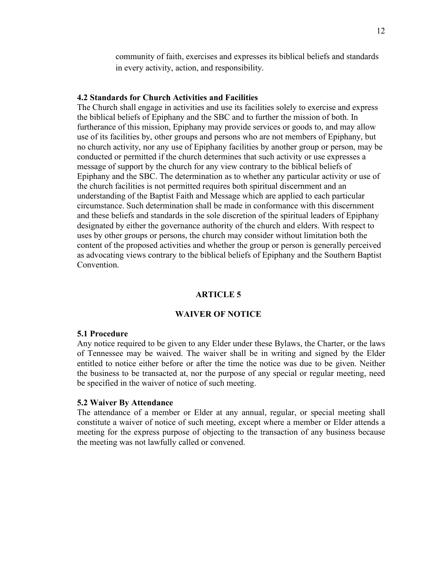12<br>community of faith, exercises and expresses its biblical beliefs and standards<br>in every activity, action, and responsibility.<br>rds for Church Activities and Facilities 12<br>
community of faith, exercises and expresses its biblical beliefs and standards<br>
in every activity, action, and responsibility.<br> **rds for Church Activities and Facilities**<br>
and the state is facilities solely to exercise

4.2 Standards for Church Activities and Facilities The Church shall engage in activities and use its facilities solely to exercise and express the biblical beliefs of Epiphany and the SBC and to further the mission of both. In furtherance of this mission, Epiphany may provide services or goods to, and may allow 12<br>community of faith, exercises and expresses its biblical beliefs and standards<br>in every activity, action, and responsibility.<br>**4.2 Standards for Church Activities and Facilities**<br>The Church Shall engage in activities an 12<br>
12<br>
12<br>
community of faith, exercises and expresses its biblical beliefs and standards<br>
in every activity, action, and responsibility.<br>
14.2 Standards for Church Activities and Facilities<br>
The Church shall engage in ac 12<br>community of faith, exercises and expresses its biblical beliefs and standards<br>in every activity, action, and responsibility.<br>4.2 **Standards for Church Activities and Facilities**<br>The Church shall engage in activities an 12<br>community of faith, exercises and expresses its biblical beliefs and standards<br>in every activity, action, and responsibility.<br>**4.2 Standards for Church Activities and Facilities**<br>The Church shall engage in activities an Epiphany and the SBC. The determination as to whether any particular activity or use of 12<br>community of faith, exercises and expresses its biblical beliefs and standards<br>in every activity, action, and responsibility.<br>The Church shall engage in activities and the site sale is permitted and express<br>the biblical 12<br>
12<br>
12<br>
community of faith, exercises and expresses its biblical beliefs and standards<br>
in every activity, action, and responsibility.<br>
14.2 Standards for Church Activities and Facilities<br>
16. Curche shall engage in ac 12<br>community of faith, exercises and expresses its biblical beliefs and standards<br>in every activity, action, and responsibility.<br>The Church shall engage in activities and use its facilities solely to exercise and express<br>t <sup>12</sup><br>
22<br>
community of faith, exercises and expresses its biblical beliefs and standards<br>
in every activity, action, and responsibility.<br> **4.2 Standards for Church Activities and Facilities**<br>
The Church shall engage in act community of faith, exercises and expresses its biblical beliefs and standards<br>in every activity, action, and responsibility.<br>4.2 Standards for Church Activities and Facilities<br>The Church shall engage in activities and use community of faith, exercises and expresses its biblical beliefs and standards<br>in every activity, action, and responsibility.<br>The Church shall engage in activities and Bac its facilities<br>The Church shall engage in activiti in every activity, action, and responsibility.<br>
4.2 Standards for Church Activities and Facilities<br>
The Church shall engage in activities and use its facilities solely to exercise and express<br>
the biblical beliefs of Epip **4.2 Standards for Church Activities and Facilities**<br>The Church shall engage in activities and use its facilities solely to exercise and express<br>the biblical beliefs of Epiphany and the SBC and to further the mission of b Convention. Even that there has Polyma the Chemical state of the SBC and to further the mission of both. In<br>the SBC and to further the mission of both the same and persons who are not members of Epiphany, but<br>and persons who are not m eptrain, than provide to the total of persons who are not thembers of Epiphany, but<br>groups and persons who are not thembers of Epiphany, but<br>se of Epiphany facilities by another group or person, may be<br>church determines th Solution and the system and solution and suppress the system of Conducted or permitted if the church determines that such activity or use<br>
message of support by the church for any view contrary to the biblical b<br>
Epiphany Example of the SBC. The determination as to whether any principal message of support by the church for any view contrary to the biblical beliefs of Epiphany and the SBC. The determination as to whether any praticular cativ The may be vaived. The values was both the range of the characteristic methanological prophany and the SBC. The determination as to whether any particular activity or use of the church facilities is not permitted requires entiated to the Eaptican and the sense which are the notice and the cherch facilities is not premitted requires both spiritual discorment and an understanding of the Baptis Faith and Message which are applied to each parti In the busine increase the busine increase of any special control method in the matching of the Baptist Faith and Message which are applied to each particular circumstance. Such determinion shall be made in conformance wit Encountainance, Such determination shall be made in conformance with this discernment<br>electuristance. Such determination shall be made in conformance with this discernment<br>and these beliefs and standards in the sole discre The discussion of the solution of the solution of the chindren control of the discussion of the governance authority of the church and elders. With respect uses by other groups or persons, the church may consider without l

Example at a member or Elder at any orientation both the specifical subsets by other groups or persons, the church may consider without limitation both the content of the proposed activities and whether the group or person Example The proposed activities and whether the group or person is generally perceived<br>as advocating views contrary to the biblical beliefs of Epiphany and the Southern Baptist<br>Convention.<br> **ARTICLE 5**<br> **ARTICLE 5**<br> **ARTIC** Express purpose and the biling between the space of an advocating views contrary to the biblical beliefs of Epiphany and the Southern Baptist Convention.<br>
ARTICLE 5<br>
WAIVER OF NOTICE<br>
5.1 Procedure<br>
ARTICLE 5<br>
WAIVER OF N The method of the method of the method of the method of the method of the method or convention.<br> **ARTICLE 5**<br> **WAIVER OF NOTICE**<br>
Any notice required to be given to any Elder under these Bylaws, the Charter, or the law<br>
or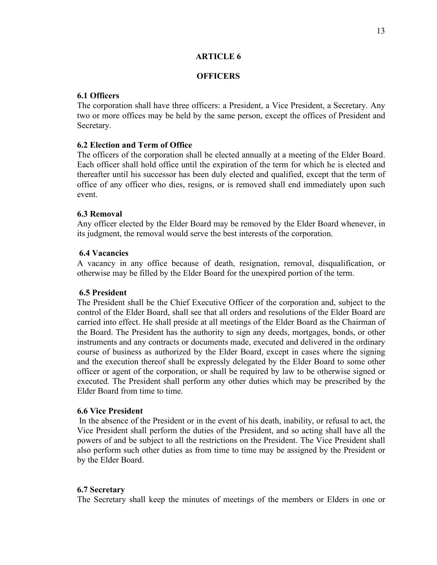# **OFFICERS**

13<br> **ARTICLE 6**<br> **OFFICERS**<br> **CERTICLE 8 ARTICLE 6**<br> **OFFICERS**<br> **6.1 Officers**<br> **6.1 Officers**<br> **6.1 Officers**<br> **6.1 Officers**<br> **6.1 Officers**<br> **6.1 Officers**<br> **6.1 Officers**<br> **6.2 Plattice and Tayy of Officers**<br> **6.2 Plattice and Tayy of Officers** 13<br> **The corporation shall have three officers: a President, a Vice President, a Secretary.** Any<br>
The corporation shall have three officers: a President, a Vice President, a Secretary. Any<br>
two or more offices may be held 13<br> **SARTICLE 6**<br> **SARTICLE 6**<br> **OFFICERS**<br> **SARTICLE 6**<br> **OFFICERS**<br> **SARTICLE 6**<br> **OFFICERS**<br> **SARTICLE 6**<br> **OFFICERS**<br> **OFFICERS**<br> **OFFICERS**<br> **OFFICERS**<br> **OFFICE 5**<br> **OFFICE 5**<br> **OFFICE 5**<br> **OFFICE 5**<br> **OFFICE 5**<br> **OFF** Secretary.

**ARTICLE 6**<br> **CALCE 6**<br> **CALCE CALCE CALCE CALCE CALCE CALCE CALCE CALCE CALCE CALCE CALCE CALCE CALCE CALCE CALCE CALCE CALCE CALCE CALCE CALCE CALCE CALCE CALCE CALCE CALCE CALCE CALCE CALCE CALCE CALCE CALCE CALCE CALCE Solution**<br> **Solution** Solution Shall have three officers: a President, a Vice President, a Secretary. Any<br>
two or more offices may be held by the same person, except the offices of President and<br>
Secretary.<br> **6.2 Election EXECT OF EXECT OF SEAL OF SEAL OF SEAL OF SEAL OF SEAL OF SEAL OF SEAL OF SEAL OF SEAL OF SEAL OF SEAL OF SEAL OF SEAL OF SEAL OF SEAL OF SEAL OF SEAL OF SEAL OF SEAL OF THE OFFICE THE OFFICE THE OFFICE THE OFFICE THE OFF Example 13**<br> **ARTICLE 6**<br> **OFFICERS**<br> **Correction** Shall have three officers: a President, a Vice President, a Secretary. Any<br>
two or more offices may be held by the same person, except the offices of President and<br> **Sec CALCUM**<br> **CALCUM**<br> **CALCUM**<br> **CALCUM**<br> **CALCUM**<br> **CALCUM**<br> **CALCUM**<br> **CALCUM**<br> **CALCUM**<br> **CALCUM**<br> **CALCUM**<br> **CALCUM**<br> **CALCUM**<br> **CALCUM**<br> **CALCUM**<br> **CALCUM**<br> **CALCUM**<br> **CALCUM**<br> **CALCUM**<br> **CALCUM**<br> **CALCUM**<br> **CALCUM**<br> **C** event. **ARTICLE 6**<br> **OFFICERS**<br> **6.1 Officers**<br> **6.1 Officers**<br> **6.2 Election shall have three officers: a President, a Vice President<br>
two or more offices may be held by the same person, except the office<br>
Secretary.<br>
<b>6.2 Elect ARTICLE 6**<br> **OFFICERS**<br>
The corporation shall have three officers: a President, a Vice President, a Secretary. Any<br>
two or more offices may be held by the same person, except the offices of President and<br>
Secretary.<br> **6.2** its judgment, the removal would serve the best interests of the corporation. **SET OFFICERS**<br> **SET OFFICERS**<br> **SET OFFICERS**<br> **SET OFFICES**<br> **SET OFFICES**<br> **SET OFFICES**<br> **SET OFFICES**<br> **SET OFFICES**<br> **SET OFFICES**<br> **SET OFFICES**<br> **SET OFFICES**<br> **SET OFFICES**<br> **SET OFFICES**<br> **SET OFFICES**<br> **SET OFFI** 6.1 Officers<br>The corporation shall have three officers: a President, a Vice President, a Secretary. Any<br>two or more offices may be held by the same person, except the offices of President and<br>Secretary.<br>Ce Election and Ter **6.1 Officers**<br>The corporation shall have three officers: a President, a Vice President, a Secretary. Any<br>two or more offices may be held by the same person, except the offices of President and<br>Secretary.<br>**6.2 Election an** The corporation and Term of Offices may be held by the same person, except the offices<br>Secretary.<br>Secretary.<br>Secretary.<br>Secretary.<br>Secretary.<br>Secretary.<br>Secretary.<br>Secretary.<br>The offices of the comporation shall be elected

Exerciary.<br>
Secretary.<br>
Secretary.<br>
The officers of the corporation shall be elected annually at a meeting of the Elder Board.<br>
The officer shall bed office until the expiration of the term for which he is elected and<br>
the **Control of the Elder Source The Elder Source Control of the Elder Board, Election and Term of Office unit the expiration of the term for which he is elected and fluences that the term for the resolution of the term of off 6.2 Election and Term of Office**<br>The offices of the corporation shall be elected annually at a meeting of the Elder Board.<br>The officers of the corporation shall med dereted and qualified, except that the term of<br>orfice of the Board of the Chief Execution and the expression and the experiments and the energy of the comporation shall be elected and qualified, except that the term of office of any officer who dies, resigns, or is removed shall The variance of the experimentation of the control and any contracts of the control of the control of the control of the control of the control of the control of the contracts or documents of the control of the contracts o External to the interest course of the signing of the signing of the signing of the signing of the certain in the signing of the certain of officer that the term of event.<br> **6.3 Removal**<br> **4.9 Removal**<br> **4.9 Removal**<br> **4.** something the execution of the Elder Board to something the execution of the execution of the execution of the Elder Board whenever, in this judgment, the removal would serve the best interests of the corporation.<br>
6.3 Rem of the Board of the Elder Board (subsection) and the corporation of the Corporation.<br> **6.3 Removal**<br>
Any officer elected by the Elder Board may be removed by the Elder Board whenever, in<br>
its judgment, the removal would se 6.3. Removal<br>Any officer elected by the Elder Board may be removed by the Elder Board whenever, in<br>its judgment, the removal would serve the best interests of the corporation.<br>6.4 Vacancies<br> $\Lambda$  vacancy in any office beca **6.3 Removal**<br> **AATY** officer elected by the Elder Board may be removed by the Elder Board whenever, in<br>
its judgment, the removal would serve the best interests of the corporation.<br> **6.4 Vacancies**<br> **6.4 Vacancies**<br> **6.7** 6.6 Vice President **6.4 Vacancies**<br>**CA Vacancies**<br>**CA Vacancies** or in any office because of death, resignation, removal, disqualification, or<br>**A vacancy** in any office because of death, resignation, removal, disqualification, or<br>**A vacancy** 6.4 Vacancies<br>A vacancy in any office because of death, resignation, removal, disqualification, or<br>A vacancy in any officed by the Elder Board for the unexpired portion of the term.<br>6.5 President shall be the Chief Executi of a Network of the because of death, resignation, removal, disqualification, or<br>A vacancy in any office beard for the unexpired portion of the term.<br>6.5 President<br>6.5 President shall be the Chief Executive Officer of the reating that the Elder Board is the universal substitute of the term.<br>
The President shall be the Chief Executive Officer of the corporation of the Elem.<br>
The President shall be the Chief Executive Officer of the corporati best and the Chief School of the Chief Executive Officer of the comporation of the cum-<br>The President shall be the Chief Executive Officer of the corporation and, subjectned control of the Elder Board, shall see that all o The Constantinum of the Black and the minimal section of the Elder Board, shall sec that all orders and resolutions of the married into effect. He shall preside at all meetings of the Elder Board as the Board. The Presiden source of the President has the authorize was a secret constructed into effect. He shall preside at all meetings of the Elder Board as the Chairman of the Board. The President has the authorize to is one or the Board as th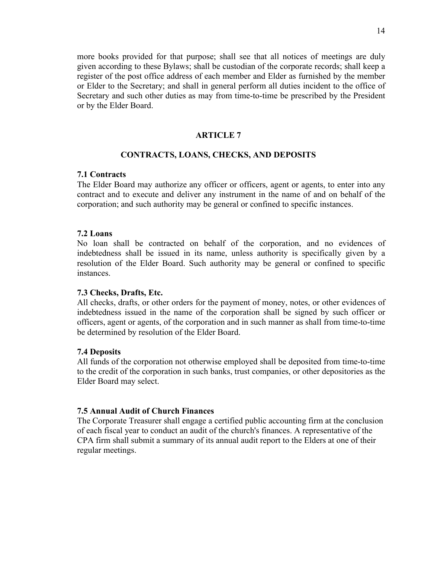14<br>more books provided for that purpose; shall see that all notices of meetings are duly<br>given according to these Bylaws; shall be custodian of the corporate records; shall keep a<br>register of the post office address of eac 14<br>more books provided for that purpose; shall see that all notices of meetings are duly<br>given according to these Bylaws; shall be custodian of the corporate records; shall keep a<br>register of the post office address of eac 14<br>more books provided for that purpose; shall see that all notices of meetings are duly<br>given according to these Bylaws; shall be custodian of the corporate records; shall keep a<br>register of the post office address of eac 14<br>
nore books provided for that purpose; shall see that all notices of meetings are duly<br>
given according to these Bylaws; shall be custodian of the corporate records; shall keep a<br>
register of the post office address of 14<br>
Secretary and the provided for that purpose; shall see that all notices of meetings are duly<br>
given according to these Bylaws; shall be custodian of the corporate records; shall keep a<br>
register of the post office addr more books provided for that purpose; shall see that all notices of meetings are given according to these Bylaws; shall be custodian of the corporate records; shall register of the post office address of each member and El 14<br>
IF the set that all notices of meetings are duly<br>
shall be custodian of the corporate records; shall keep a<br>
of each member and Elder as furnished by the member<br>
1 in general perform all duties incident to the office o 14<br>provided for that purpose; shall see that all notices of meetings are duly<br>ing to these Bylaws; shall be custodian of the corporate records; shall keep a<br>e post office address of each member and Elder as furnished by th more books provided for that purpose; shall see that all notices of r<br>given according to these Bylaws; shall be custodian of the corporate receptister of the post office address of each member and Elder as furnish<br>or Elder 14<br>
14<br>
14<br>
14 more books provided for that purpose; shall see that all notices of meetings are duly<br>
given according to these office address of cach member and Elder as furnshed by the member<br>
or Elder to the Secretary, a contract and to execute and deliver any instrument in the name of and on behalf of the 14<br>
igniven according to these Bylaws; shall see that all notices of meetings are duly<br>
given according to these Bylaws; shall be custodian of the corporate records; shall keep a<br>
register of the post office address of eac more books provided for that purpose; shall see that all notices of r<br>given according to these Bylaws; shall be custodian of the corporate receptister of the post office address of each member and Elder as furnish<br>or Elder Move oscar powered on the contracted on the map in the corporation and the corporation and European shall be custodian of the corporation records; shall keep a register of the post office a dots on the most of find on the indebted in its case of the post office address of each member and Elder as furnished by the member<br>or Elder to the Secretary, and shall in general perform all duties incident to the office of<br>or Elder to the Secretary and

respace to the Exercise cancel control in peneral perform all duties incident to the office of<br>Sceretary and such other duties as may from time-to-time be prescribed by the President<br>or by the Elder Board.<br> **ARTICLE 7**<br> **C** instances. **ARTICLE 7**<br> **CONTRACTS, LOANS, CHECKS, AND DEPOSITS**<br> **7.1 Contracts**<br>
The Elder Board may authorize any officer or officers, agent or agents, to enter into any<br>
contract and to execute and deliver any instrument in the n ARTICLE 7<br>
CONTRACTS, LOANS, CHECKS, AND DEPOSITS<br>
The Elder Board may authorize any officer or officers, agent or agents, to enter into any<br>
contract and to execute and deliver any instrument in the name of and on behalf **EXECT:**<br> **EXECT:** CONTRACTS, LOANS, CHECKS, AND DEPOSITS<br>
The Elder Board may authorize any officer or officers, agent or agents, to enter into any<br>
contract and to execute and deliver any instrument in the name of and on **CONTRACTS, LOANS, CHECKS, AND DEPOSITS**<br>
The Elder Board may authorize any officer or officers, agent or agents, to enter into any<br>
The Elder Board may authorize any officer or officers, agent or agents, to enter into any **CONTRACTS, LOANS, CHECKS, AND DEPOSITS**<br> **7.1 Contracts**<br>
The Elder Board may authorize any officer or officers, agent or agents, to enter into any<br>
contract and to execute and deliver any instrument in the name of and on 7.1 Contracts<br>The Elder Board may authorize any officer or officers, agent or agents<br>contract and to execute and deliver any instrument in the name of an<br>corporation; and such authority may be general or confined to specif All Funds of the corporation in such bary the corporation is a stellar Board may authorize any officer any instrument in the name of and on behalf of the corporation; and such authority may be general or confined to specif The case of the corporation in such banks, the corporation in such that the corporation; and such authority may be general or confined to specific instances.<br> **7.2 Loans**<br> **7.2 Loans**<br> **7.2 Loans**<br> **7.2 Loans**<br> **7.2 Loans** Solution and such an existent and competition, and not discussed and such an exist of the comporation; and such authority may be general or confined to specific instances.<br>
T.2 Loans<br>
No loan shall be contracted on behalf **7.2 Loans**<br>
No loan shall be contracted on behalf of the corporation, and no evidences of<br>
indebetdens shall be issued in its name, unless authority is specifically given by a<br>
incebetdense shall be issued in its name, un The Corporation and the contracted on behalf of the corporation, and no evidences of indebtedness shall be issued in its name, unless authority is specifically given by a inclusion of the Elder Board. Such authority may b

For the basis of the Elder Board in the same, unless authority is specifically given by a resolution of the Elder Board, Such authority may be general or confined to specific instances.<br>
T.3 Checks, Drafts, Etc.<br>
All check mesolution of the Elder Board. Such authority may be general or confined to specific instances.<br>
7.3 Checks, Drafts, Etc.<br>
7.3 Checks, Drafts, Etc.<br>
7.1 Checks, Drafts, Etc.<br>
7.1 Checks, and the roter orders for the paymen regular of the Enter Exact and analytics) imay be general of communistances.<br>
T.3 Checks, praffs, Etc.<br>
All checks, drafts, or other orders for the payment of money, notes, or othe<br>
indebtedness issued in the name of the c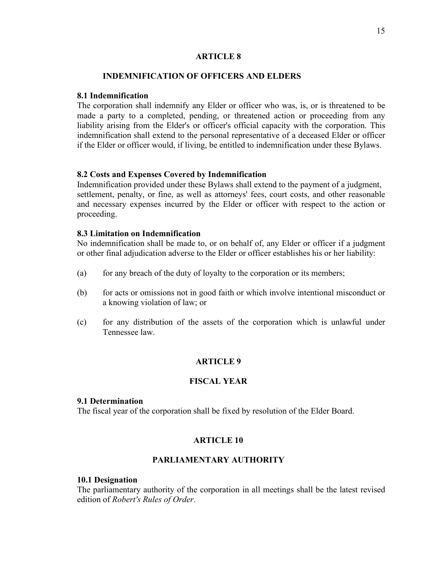# 15<br>
ARTICLE 8<br>
F OFFICERS AND ELDERS<br>
The Elder or officer who was in an industry of the base

**INDEMNIFICATION OF OFFICERS AND ELDERS**<br> **EXECUTE:**<br> **EXECUTE:**<br> **EXECUTE:**<br> **EXECUTE:**<br> **EXECUTE:**<br> **EXECUTE:**<br> **EXECUTE:**<br> **EXECUTE:**<br> **EXECUTE:**<br> **EXECUTE:**<br> **EXECUTE:**<br> **EXECUTE:**<br> **EXECUTE:**<br> **EXECUTE:**<br> **EXECUTE:**<br> **ARTICLE 8**<br>**ARTICLE 8**<br>**RATICLE 8.1**<br>**RATICLE 8.1**<br>**RATICLE 8.**<br>**RATICLE 8.**<br>**RATICLE 8.**<br>**RATICLE 8.**<br>**RADICALE 8.**<br>**RADICALE 8.**<br>**RADICALE 8.**<br>**OF 1** Indemnification of proposition is all extend to the personal represen **THE CORRET SET ATTELL S**<br> **THE CORRET SET ATTES SAND ELDERS**<br> **S.1 Indemnification**<br>
The corporation shall indemnify any Elder or officer who was, is, or is threatened to be<br>
made a party to a completed, pending, or threa **MADE A PARTICLE 8**<br>**MADE A PARTICUS AND STATE ASSES AND ELDERS**<br>**8.1 Indemnification**<br>The corporation shall indemnify any Elder or officer who was, is, or is threatened to be<br>made a party to a completed, pending, or threa **ISMON ARTICLE 8**<br> **RATICLE 8**<br> **RATICLE 8**<br> **RATICATION OF OFFICERS AND ELDERS**<br> **RATICLE 8**<br> **RATICLE 8**<br> **RATICLE 8**<br> **RATICLE 8**<br> **RATICLE 8**<br> **RATICLE 8**<br> **RATICLE 8**<br> **RATICLE 8**<br> **R**<br> **R D**<br> **RETICATION OF OFFICER independent of a deceased to the personal representation**<br> **EXECUTE: SAI Indemnification**<br> **SAI Indemnification**<br> **SAI Indemnification**<br> **SAI Indemnification**<br> **EXECUTE:** The corporation shall extend to the personal rep **is the Elder or officer School School School School School School School School School School School School School School School School School School School School School School School School School School School School S EXPECTE S**<br> **EXPECTEVE S**<br> **EXPECTEVE SAND ELDERS**<br> **S.1 Indemnification**<br> **S.1 Corporation shall indemnify any Elder or officer who was, is, or is threatened to be<br>
The corporation shall indemnify any Elder or officer wh ISM ARTICLE 8**<br>
INDEMNIFICATION OF OFFICERS AND ELDERS<br> **8.1 Indemnification**<br>
The corporation shall indemnify any Elder or officer who was, is, or is threatened to be<br>
made a party to a completed, pending, or threatened settlement, and the mention of orthogonal as attorneys at the memorial indemnify any Elder or officer who was, is, or is threatened to be The coproration shall indemnify any Elder or officer who was, is, or is threatened t **EXECT ANDERE AND ARTICLE 8**<br> **ARTICLE 8**<br> **ANDERE AND ELDERS**<br> **ANDERE AND TREAS AND FLUERS**<br> **ANDERE AND TREAS AND TREAS AND TREAS AND TREAS CONDIME TO a completed promptom** and a party to a completed promptom or procee **ARTICLE 8**<br> **EXECUTE: SAMPLE INTERT AND ELDERS**<br> **SAMPLE EXECUTE AS AND ELDERS**<br> **SAMPLE EXECUTE AND ALL CONDENS**<br> **SAMPLE EXECUTE CONDENT**<br> **EXECUTE EXECUTE CONDENT**<br> **EXECUTE EXECUTE:** THE CONDENTIFICATION INTERTED TH **INDEMNIFICATION OF OFFICERS AND ELDERS**<br> **S.1 Indemnification**<br>
The corporation shall indemnify any Elder or officer who was, is, or is threatened to be<br>
The corporation shall indemnify any Elder or officer's officer who **INDEMINIFICATION OF OFFICERS AND ELDERS**<br>**S.1 Indemnification**<br>The corporation shall indemnify any Elder or officer who was, is, or is threatened to be<br>made a party to a completel, pending, or threatened action or proceed **8.1 Indemnification**<br>The corporation shall indemnify any Elder or officer who was, is, or is threatened to be<br>The corporation shall extend to the presonal representative of a deceased Elder or officer<br>if due Elder or off The structure manner and the Elder or offered action or proceeding from any<br>
made a party to a completed, pending, or therefore of the action or proceeding from any<br>
ilability arising from the Elder or officer sorticer's o

proceeding. Failing from the Elder's or officer's official capacity with the corporation. This arising from the Elder's or officer's official capacity with the corporation. This ification shall extend to the personal representative of Finder Euler or officer would, if living, be entitled to indemnification under these Bylaws.<br> **8.2 Costs and Expenses Covered by Indemnification** to the payment of a judgment, indemnification provided under these Bylaws s The context works, it is the probably interest to mean<br>infication provided under these Bylaws shall extend to the payment of a judgment,<br>perhapsive, or fine, as well as attorneys' fees, court costs, and other reasonal<br>essa by Indeminication<br>and the payment of a judgment,<br>see Bylaws shall extend to the payment of a judgment,<br>ll as attorneys' fees, court costs, and other reasonable<br>by the Elder or officer with respect to the action or<br>n<br>to, or From a successive of the state counterpart of the state of the state of the state of the state of the state of the state of the state of the Elder or officer with respect to the action or is the Elder or officer establishe

- 
- 8.3 Limitation on Indemnification<br>
No indemnification shall be made to, or on behalf of, any Elder or off<br>
or other final adjudication adverse to the Elder or officer establishes his<br>
(a) for any breach of the duty of loya **8.3 Limitation on Indemnification**<br>
No indemnification shall be made to, or on behalf of, any Elder or officer if a judgment<br>
or other final adjudication adverse to the Elder or officer establishes his or her liability:<br> The state of officer caterialists into the intensity.<br>
of loyalty to the corporation or its members;<br>
n good faith or which involve intentional misconduct or<br>
7; or<br>
c assets of the corporation which is unlawful under<br> **AR** or ale dary or Ryany to the experimented to the interface s,<br>issions not in good faith or which involve intentional misconduct or<br>altion of law; or<br>which of the assets of the corporation which is unlawful under<br>ARTICLE 9<br>F
- 10.1 Designation<br>
The parallel matrix and the space and structure involve included<br>
10.1 Determination<br>
The fiscal year of the corporation shall be fixed by resolution of the Elder<br> **ARTICLE 9**<br> **COMPENDENT SEAL YEAR**<br>
10.

The parliamentary authority of the sasses of the corporation which is unlawful under<br>
Tennessee law.<br> **ARTICLE 9**<br>
FISCAL YEAR<br>
9.1 Determination<br>
The fiscal year of the corporation shall be fixed by resolution of the Elde (c) for any distribution of the assets of the corporation which is unlawful under<br>
Tennessee law.<br> **ARTICLE 9**<br> **FISCAL YEAR**<br> **9.1 Determination**<br>
The fiscal year of the corporation shall be fixed by resolution of the El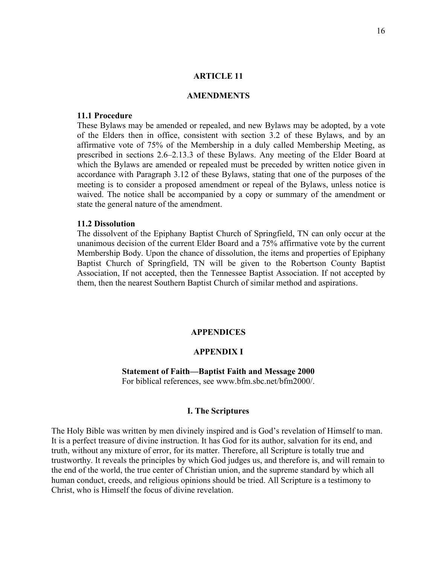# **AMENDMENTS**

16<br>
ARTICLE 11<br>
MENDMENTS<br>
a succeled and sure Delays associated that a state **ARTICLE 11**<br>**AMENDMENTS**<br>**11.1 Procedure**<br>These Bylaws may be amended or repealed, and new Bylaws may be ac<br>of the Elders then in office, consistent with section 3.2 of these Bylaffirmative vote of 75% of the Membership i 16<br> **ARTICLE 11**<br> **AMENDMENTS**<br> **These Bylaws may be amended or repealed, and new Bylaws may be adopted, by a vote**<br>
These Bylaws may be amended or repealed, and new Bylaws may be adopted, by an<br>
affirmative vote of 75% of **COMBON SET ASSEM ANCELL ASSEMAL SET ASSEMAL ANCE ASSEMAL STATE OF THE ELOTS THEORY THESE BY A SURFACT THESE BY A SURFACT THEORY SURFACT THEORY SOURCE THEORY SOURCE THEORY SURFACT AS prescribed in sections 2.6–2.13.3 of th ARTICLE 11**<br>**AMENDMENTS**<br>**AMENDMENTS**<br>**These Bylaws** may be adopted, by a vote<br>**These Bylaws** may be amended or repealed, and new Bylaws may be adopted, by a vote<br>of the Elders then in office, consistent with section 3.2 **ARTICLE 11**<br>**AMENDMENTS**<br>**11.1 Procedure**<br>**These Bylaws may be amended or repealed, and new Bylaws may be adopted, by a vote<br>of the Elders then in office, consistent with section 3.2 of these Bylaws, and by an<br>affirmative ARTICLE 11**<br>**ANENDMENTS**<br>**I.1. Procedure**<br>**These Bylaws** may be amended or repealed, and new Bylaws may be adopted, by a vote<br>of the Elders then in office, consistent with section 3.2 of these Bylaws, and by an<br>affirmativ **ARTICLE 11**<br>**AMENDMENTS**<br>**These Bylaws may be amended or repealed, and new Bylaws may be adopted, by a vote<br>of the Elders then in office, consistent with section 3.2 of these Bylaws, and by an<br>affirmative vote of 75% of t** meeting is to consider a proposed amendment or repeal of the Bylaws, unless notice is waived. The notice shall be accompanied by a copy or summary of the amendment or 16<br> **STATE ANTICLE 11**<br> **STATE ANTICLE 11**<br> **STATE ANTICUS ANTICUS ANTICUS**<br> **STATE ANTICUS**<br> **STATE AMENDMENTS**<br> **STATE AMENDMENTS**<br> **Of the Elders then in office, consistent with section 3.2 of these Bylaws, and by an<br>
a ARTICLE 11**<br>**ANENDMENTS**<br>**ARTICLE 11**<br>**AMENDMENTS**<br>**These Bylaws may be amended or repealed, and new Bylaws may be act<br>of the Elders then in office, consistent with section 3.2 of these Bylaffirmative vote of 75% of the M ARTICLE 11**<br>**AMENDMENTS**<br>**These Bylaws may be amended or repealed, and new Bylaws may be adopted, by a vote<br>These Bylaws may be amended or repealed, and new Bylaws may be adopted, by a vote<br>of the Elders them in office, ARTICLE 11**<br> **AMENDMENTS**<br> **These Bylaws may be amended or repealed, and new Bylaws may be adopted, by a vote<br>
of the Elders then in office, consistent with section 3.2 of these Bylaws, and by<br>
anfifirmative vote of 75% ARTICLE 11**<br> **AMENDMENTS**<br> **These Bylaws may be amended or repealed, and new Bylaws may be adopted, by a vote** of the Elders then in office, consistent with section 3.2 of these Bylaws, and by an affirmative vote of 75% **EXECT ASSET ASSET ASSET ASSET ASSET ASSET ASSET ASSET ASSET ASSET ASSET ASSET ASSET ASSET ASSET ASSET ASSET ASSET ASSET ASSET ASSET ASSET ASSET ASSET ASSET ASSET ASSET ASSET AND A THE PROPORT AND WILL BE THE PROPORT AND AMENDMENTS**<br> **These Bylaws may be amended or repealed, and new Bylaws may be adopted, by a vote<br>
of the Elders then in office, consistent with section 3.2 of these Bylaws, and by an<br>
affirmative vote of 75% of the Member** 11.1 Procedure<br>These Bylaws may be amended or repealed, and new Bylaws may be adopted, by a vote<br>of the Elders then in office, consistent with section 3.2 of these Bylaws, and by an<br>affirmative vote of 75% of the Membershi

reparation the proposes of minimal more given in<br>the fight these Bylaws, stating that one of the purposes of the<br>d amendment or repeal of the Bylaws, unless notice is<br>mpanied by a copy or summary of the amendment or<br>ndment From the Baptist Church of Springfield, TN can only occur as the companied by a copy or summary of the amendment or<br>translation of the experimental and a 75% affirmative vote by the current<br>eccision of the current Edder Bo For biblical references, see www.bfm.sbc.net/bfm2000/.<br>
The Section of the announced of the announced of the control of the current Elder Board and a 75% affirmative vote by the current<br>
How, Upon the chance of dissolution Baptist Church of Springfield, TN can only occur at the<br>
ILENE Board and a 75% affirmative vote by the current<br>
ILENE Bosolution, the items and properties of Epiphany<br>
TN will be given to the Robertson County Baptist<br>
In t

# APPENDICES

Membership Body. Upon the chance of dissolution, the items and properties of Epiphany<br>Bapits Church of Springfield, TN will be given to the Robertson County Bapits<br>Association, If not accepted, then the Tennessee Bapitst A **It is a perfect treasure of controllant and the metallic of the Scheme and Alexander Alexander Alexander Alexander Alexander Alexander Alexander Alexander Alexander Alexander Alexander Alexander Alexander Alexander Alexa** Association, If not accepted, then the Tennessee Baptist Association. If not accepted by<br>
them, then the nearest Southern Baptist Church of similar method and aspirations.<br> **APPENDICES**<br> **APPENDICES**<br> **APPENDICES**<br> **APPEND** them, then the nearest Southern Baptist Church of similar method and aspirations,<br>them, then the nearest Southern Baptist Church of similar method and aspirations.<br>APPENDICES<br>APPENDICES<br>APPENDICES<br>To biblical references, s the end of the world, the world, the world, the summer of Faith and Message 2000<br>
APPENDIX I<br>
Statement of Faith—Baptist Faith and Message 2000<br>
For biblical references, see www.bfm.sbc.net/bfm2000/.<br>
I. The Seriptures<br>
Th **APPENDICES**<br> **APPENDIX I**<br> **Statement of Faith—Baptist Faith and Message 2000**<br>
For biblical references, see www.bfm.sbc.net/bfm2000/.<br> **I.** The Seriptures<br>
The Holy Bible was written by men divinely inspired and is God's APPENDICES<br>
APPENDIX I<br>
Statement of Faith—Baptist Faith and Message 2000<br>
For biblical references, see www.bfm.sbc.net/bfm2000/.<br>
I. The Scriptures<br>
The Holy Bible was written by men divine) inspired and is God's revelati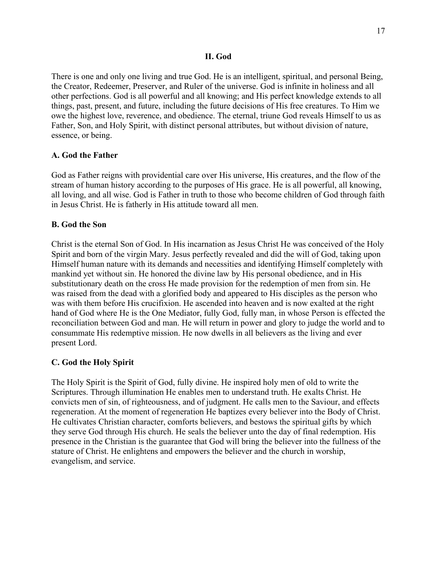17<br>
II. God<br>
d. He is an intelligent, spiritual, and personal Being,<br>
of the universe. God is infinite in holiness and all<br>
knowing; and His perfect knowledge extends to all **IT. God**<br> **There is one and only one living and true God. He is an intelligent, spiritual, and personal Being,<br>
the Creator, Redeemer, Preserver, and Ruler of the universe. God is infinite in holiness and all<br>
other perfe II. God**<br> **II. God**<br> **II. God**<br> **II. God**<br> **II. God**<br> **II. God**<br> **II. God**<br> **II. God**<br> **II. God**<br> **II. God**<br> **II. God**<br> **II. God**<br> **II. God**<br> **II. God**<br> **II. Songler,** and Being,<br> **II. Songler is an External**<br> **II** is per **II. God**<br> **II. God**<br> **II. God**<br> **II. God**<br> **II. God**<br> **II. God**<br> **II. God**<br> **II. God**<br> **II. God**<br> **II. God**<br> **II. God**<br> **II. God**<br> **II. Excends to all powerful and all knowing; and His perfect knowledge extends to all<br> II. God**<br> **II. God**<br> **II. God**<br> **II. God**<br> **II. God**<br> **II. God**<br> **II. God**<br> **II. God**<br> **II. God**<br> **II. God**<br> **II. God**<br> **II. Songle creator, Redeemer, Preserver, and Ruler of the universe. God is infinite in holiness and II. God**<br> **II. God**<br>
There is one and only one living and true God. He is an intelligent, spiritual, and personal Being,<br>
the Creator, Redeemer, Preserver, and Ruler of the universe. God is infinite in holiness and all<br>
o **Father, Son, and Properties, and Holy Spirit, with distinct personal attributes, and Father, personal Being**, the Creator, Redeemer, Preserver, and Ruler of the universe. God is infinite in holiness and all other perfecti **II. God**<br> **II. God**<br>
There is one and only one living and true God. He is an intelligent, spiritual, an<br>
the Creator, Redeemer, Preserver, and Ruler of the universe. God is infinite in h<br>
other perfections. God is all pow **II. God**<br> **II. God**<br> **II. God**<br>
There is one and only one living and true God. He is an intelligent, spiritual, and<br>
the Creator, Redeemer, Preserver, and Ruler of the universe. God is infinite in ho<br>
other perfections. G **IDENT 17 IDENT 18 EXECTS CONDUM** IDENT TO THE TON THE TRANSIFY THE REFERENCE TO THE TREFERENCE TO THE TREFERENCE IN THE USE THE TREFERENT CONDIT UP THE TREFERENT CONDITABLY THE USER, INCREDIBNE, THE TREFERENT CONDUPT **Stract 12 IT. God**<br>There is one and only one living and true God. He is an intelligent, spiritual, and personal Being,<br>the Creator, Redeemer, Preserver, and Ruler of the universe. God is infinite in holiness and all<br>oth 17<br> **all Cod**<br> **There is one and only one living and true God. He is an intelligent, spiritual, and personal Being,<br>
the Creator, Redeemer, Preserver, and Ruburg ind His perfect knowledge extends to all<br>
things, past, pres in 17**<br> **II. God**<br> **II. God**<br> **II. God**<br> **II. God**<br> **II. God**<br> **II. Codement, Preserver, and Ruler of the universe. God is infinite in holiness and all<br>
other perfections. God is all powerful and all knowing; and His perf II. God**<br>**II. God**<br>**II. God**<br>**II. God**<br>**II. God**<br>**II. God**<br>**II. God**<br>**II. God**<br>**II. God**<br>**II. God**<br>**II. God**<br>**II. God**<br>**II. God**<br>**II. God**<br>**II. God**<br>**II. God**<br>**II. God**<br>**II. God**<br>**II. Bohncomery, and including the fluture** There is one and only one living and true God. He is an intelligent, spiritual, and personal Being,<br>the Creator, Redeemer, Preserver, and Ruler of the universe. God is infinite in holiness and all<br>other perfections. God is There is one and only one living and true God. He is an intelligent, spiritual, and personal Being,<br>the Creator, Redeemer, Preserver, and Ruler of the universe. God is infinite in holliness and all<br>the reprefections. God i

the Creator, Redeemer, Preserver, and Ruler of the universe. God is infinite in holiness and all<br>the Creator, Redeemer, Preserver, and Ruler of the universe. God is infinite in holiness and all<br>other perfections. God is al other perfections. God is all powerful and all knowing; and His perfect knowledge extends to all<br>things, past, present, and future, including the future decisions of His free creatures. To Him we<br>divine honored the divine things, past, present, and future, including the future decisions of His free creatures. To Him we<br>the fidures love, reverence, and obedence. The eternal, triune God reveals Himself to us as<br>we the highest love, reverence, we the highest love, reverence, and obedience. The eternal, triune God reveals Himself to us as Fahre, Son, and Holy Spirit, with distinct personal attributes, but without division of nature, Son, and Holy Spirit, with dis Father, Son, and Holy Spirit, with distinct personal attributes, but without division of nature,<br>essence, or being.<br>A. God the Father<br>Ciod as Father reigns with providential care over His universe, His creatures, and the f essence, or being.<br>
A. God the Father<br>
A. God the Father<br>
God as Father reigns with providential care over His universe, His creatures, and the flow of the<br>
stream of human history according to the purposes of His grace. H **A. God the Father**<br>Cod as Father reigns with providential care over His universe, His creatures, and the flow of the<br>stream of human history according to the purposes of His grace. He is all powerful, all knowing,<br>all lo A. God the Father<br>Cod as Father reigns with providential care over His universe, His creatures, and the flow of the<br>stream of human history according to the purposes of His grace. He is all powerful, all knowing,<br>all lovi Example of the relationship providential care over His universe, His creatures<br>
God as Father rejays with providential care over His universe, His creatures<br>
all loving, and all wise. God is Father in truth to those who b Social Manus (Section Intervals and the purposes of His grace. He is all powerful, all<br>all loving, and all wise. God is Father in truth to those who become children of God th<br>in Jesus Christ. He is fatherly in His attitude In Jesus Christ. He is fatherly in His attitude toward all men.<br>
B. God the Son<br>
Christ is the eternal Son of God. In His incarnation as Jesus Christ He was conceived of the Holy<br>
Spirit and born of the virgin Mary. Jesus **B. God the Son**<br>Christ is the eternal Son of God. In His incarnation as Jesus Christ He was conceived of the Holy<br>Christ is the eternal Son of God. In His incarnation as Jesus Christ He was conceived of the Holy<br>Himself h **B. God the Son**<br>Christ is the cternal Son of God. In His incarnation as Jesus Christ He was conceived of the Holy<br>Spirit and born of the virgin Mary. Jesus perfectly revealed and did the will of God, taking upon<br>Himself relation. This image was thrist in the was conceived of the Holy<br>Christ is the eternal Son of God. In His incarnation as Jesus Christ He was conceived of the Holy<br>Spirit and born of the virgin Mary. Jesus perfectly reveale Christ is the eternal Son of God. In His incarnation as Jesus Christ He was conceived of the Holy<br>Spirit and born of the virgin Mary. Jesus perfectly revealed and did the will of God, taking upon<br>Himself human nature with Sprint and how other was made that believer that church is the seals the seal with the seals the seal of the seals the seal of the will of God, taking upon mankind yet without sin. He honored the divine law by His personal Firmself human nature with its demands and necessities and identifying Himself completely with mankind yet without sin. He honored the diving in the subscrittence, and in His substitutionary death on the cross He made prov

Frameon Manuari and the consection of the control of the church in the completion of the church in the bused from the characteristic was raised from the character was with them before this dividend provision for the redem Evantively and the medical control and the consisted control and service. The process studied in the cross He made provision for the redemption of men from was raised from the dead with a glorified body and appeared to His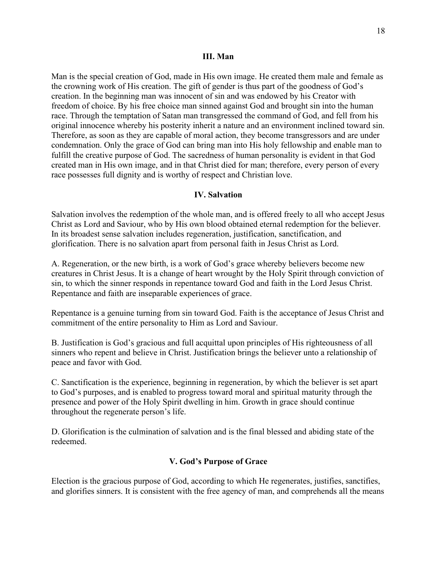18<br>III. Man<br>His own image. He created them male and female as<br>of gender is thus part of the goodness of God's<br>of sin and was endowed by his Creator with **III. Man**<br>
Man is the special creation of God, made in His own image. He created them male and female as<br>
the crowning work of His creation. The gift of gender is thus part of the goodness of God's<br>
creation. In the begin **III. Man**<br>**III. Man**<br>**III. Man**<br>**III. Man**<br>**III. Man**<br>**III. Man**<br>**III. Man**<br>**III. Man**<br>**III. Man**<br>**III. Man**<br>**III. Man**<br>**III. Man**<br>**III** crowning work of His creation. The gift of gender is thus part of the goodness of Go **III. Man**<br> **III. Man**<br> **III. Man**<br> **III. Man**<br> **III. Man**<br> **III. Man**<br> **III. Man**<br> **III. Man**<br> **III. Man**<br> **III. Man**<br> **III. Man**<br> **III. Our**<br> **III. Our**<br> **III. Our**<br> **III. Our**<br> **III. Our**<br> **III. Our**<br> **III. Free Community** Freedom of God, made in His own image. He created them male and female as the crowning work of His creation. The gift of gender is thus part of the goodness of God's creation. In the beginning man was inno **III. Man**<br>**III. Man**<br>**III. Man**<br>**III. Man**<br>**III. Man**<br>**ICOM** is creation. The gift of gender is thus part of the goodness of God's<br>recation. In the beginning man was innocent of sin and was endwed by his Creator with<br>free **IFF. Man**<br> **IFF. Man**<br>
Man is the special creation of God, made in His own image. He created them male and female as<br>
the crowning work of His creation. The gift of gender is thus part of the goodness of God's<br>
freedom of **IFI. Man**<br>**IFI. Man**<br>**IFI. Man**<br>**IFI. Man**<br>**IFI. Man**<br>**IFI. Man**<br>**IFI. Man**<br>**IFI. Man**<br>**IFI. Man**<br>**IFI. Man**<br>**IFI. Man**<br>**IFI. Man**<br>**IFI. Man**<br>**IFI. Man**<br>**IFI. Man**<br>**IFI. Man**<br>**IFI. Man**<br>**IFI. Man**<br>**IFI. Man**<br>**IFI.** They i **ITI. Man**<br> **ITI. Man**<br>
Man is the special creation of God, made in His own image. He created them male and female as<br>
the crowning work of His creation. The gift of gender is thus part of the goodness of God's<br>
creation. **Example 18 Fulfill Man**<br>**Fulfill Man**<br>**Example 18 Fulfill is observed the creative purpose** of God's creation. In the beginning man was innocent of sin and was endowed by his Creator with<br>freedom of choice. By his fre **III. Man**<br> **Comparison** is the special creation of God, made in His own image. He created them male and female as<br>
the crowning work of His creation. The gift of gender is thus part of the goodness of God's<br>
creation. In race possesses full dignity and is worthy of respect and Christian love. 18<br>
III. Man<br>
in His own image. He created them male and female as<br>
ift of gender is thus part of the goodness of God's<br>
ent of sin and was endowed by his Creator with<br>
1 simned against God and brought sin into the human<br> IM. **Man**<br>
IM. **Man**<br>
IM. **Man**<br>
the crowning work of His creation. The gift of gender is thus part of the goodness of God's<br>
creation. In the beginning man was innocent of sin and was endowed by his Creator with<br>
freedom III. Man<br>III. Man<br>III. Man<br>the crowning work of His creation. The gift of gender is thus part of the goodness of God's<br>creation. In the beginning man was innocent of sin and was endowed by his Creator with<br>freedom of choic III. Man<br>
III. Man<br>
III. Man<br>
this own image. He created them male and female as<br>
the crowning work of His creation. The gift of gender is thus part of the goodness of God's<br>
creation. In the beginning man was innocent of Man is the special creation of God, made in His own image. He created them male and female as<br>the crowning work of His creation. The girl if gender is thus part of the goodness of God's<br>creation. In the beginning man was i the crowning work of His creation. The gift of gender is thus part of the goodness of God's creation. In the beginning man was innocent of sin and was endoved by his Creator with receion in the believers where the mean fre creation. In the beginning man was innocent of sin and was choloved by his Creator with<br>freedom of choice. By his fee choice man simed against God and brought sin into the human<br>frace. Through the temptation of Satan man t freedom of choice. By his free choice man transpersed the command against God and brought sin into the human<br>race. Through the temptation of Satam man transperses det command of God, and fell from his<br>original innocence wh Frace. Through the temptation of Statan man transgressed the command of God, and fell from his original innocence whereby his posterity inheric an atten and an environment inclinical toward sin. Therefore, as soon as they Therefore, as soon as they are capable of moral action, they become transgressors and are under<br>condemnation. Only the greece of God can bring man into His holy fellowship and eanble man<br>fulfill the creative purpose of God condemnation. Only the grace of God can bring man into His holy fellowship and enable man to condemnation. Only the grace of God can bring man into His holy fellowship and enable man to fulfill the creative purose of God.

created man in His own image, and in that Christ died for man; therefore, every person of every<br>race possesses full dignity and is worthy of respect and Christian love.<br> **IV. Salvation**<br>
Salvation involves the redemption o race possesses full dignity and is worthy of respect and Christian love.<br>
IV. Salvation<br>
Salvation involves the redemption of the whole man, and is offered freely to all who accept Jesus<br>
Christ as Lord and Saviour, who by IV. Salvation<br>IV. Salvation<br>IV. Salvation<br>Christ as Lord and Saviour, who by His swon blood obtained erend redemption for the be<br>Christ as Lord and Saviour, who by His swon blood obtained erend redemption for the<br>In its br Salvation involves the redemption of the whole man, and is offered freely to all who accept Jesus<br>Christ as Lord and Saviour, who by His own blood obtained cternal redemption for the believer.<br>In its broadest sense salvati Salvation involves the redemption of the whole man, and is offered freely to all who accept Jesus<br>Christ as Lord and Saviour, who by His own blood obtained eternal redemption for the believer.<br>This broadest sense salvation Christ as Lord and Saviour, who by His own blood obtained eternal redemption for the believer.<br>
In its broadest sense slavation includes regeneration, justification, sanctification, and<br>
difficultion, and generation in suc In its broadest sense salvation includes regeneration, justification, sanctification, and<br>In its broadcst sense salvation includes regeneration, justification, sanctification, and<br>glorification. There is no salvation apart A. Regeneration, or the new birth, is a work of God's grace whereby believe become new<br>
A. Regeneration, or the new birth, is a work of God's grace whereby believes become new<br>
creatures in Christ Jesus. It is a change of

In repentance toward God and faith in the Lord Jesus Christ.<br>
Ile experiences of grace.<br>
om sin toward God. Faith is the acceptance of Jesus Christ.<br>
om sin toward God. Faith is the acceptance of Jesus Christ and<br>
ity to H Repentance is a genuine tunning from since ward God. Faith is the acceptance of Jesus Christ and Commitment of the entire personality to Him as Lord and Saviour.<br>
B. Justification is God's gracious and full acquittal upon Repentance is a genuine turning from sin toward God. Faith is the acceptance of Jesus Christ and<br>commitment of the entire personality to Him as Lord and Saviour.<br>B. Justification is God's gracious and full acquittal upon p

redeemed.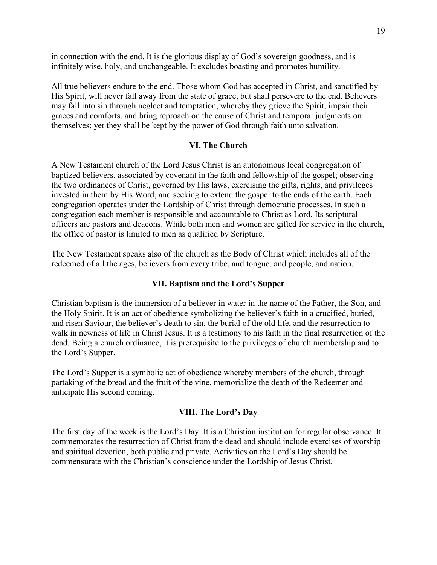19<br>in connection with the end. It is the glorious display of God's sovereign goodness, and is<br>infinitely wise, holy, and unchangeable. It excludes boasting and promotes humility.<br>All true believers endure to the end. Those <sup>19</sup><br>in connection with the end. It is the glorious display of God's sovereign goodness, and is<br>infinitely wise, holy, and unchangeable. It excludes boasting and promotes humility.<br>All true believers endure to the end. Tho 19<br>
in connection with the end. It is the glorious display of God's sovereign goodness, and is<br>
infinitely wise, holy, and unchangeable. It excludes boasting and promotes humility.<br>
All true believers endure to the end. Th 19<br>
in connection with the end. It is the glorious display of God's sovereign goodness, and is<br>
infinitely wise, holy, and unchangeable. It excludes boasting and promotes humility.<br>
All true believers endure to the end. Th in connection with the end. It is the glorious display of God's sovereign goodness, and is<br>infinitely wise, holy, and unchangeable. It excludes boasting and promotes humility.<br>All true believers endure to the end. Those wh 19<br>in connection with the end. It is the glorious display of God's sovereign goodness, and is<br>infinitely wise, holy, and unchangeable. It excludes boasting and promotes humility.<br>All true believers endure to the end. Those 19<br>
in connection with the end. It is the glorious display of God's sovereign goodness, and is<br>
infinitely wise, holy, and unchangeable. It excludes boasting and promotes humility.<br>
All true believers endure to the end. Th VI. The Church

<sup>19</sup><br>
in connection with the end. It is the glorious display of God's sovereign goodness, and is<br>
infinitely wise, holy, and unchangeable. It excludes boasting and promotes humility.<br>
All true believers cndure to the end. 19<br>
in connection with the end. It is the glorious display of God's sovereign goodness, and is<br>
infinitely wise, holy, and unchangeable. It excludes boasting and promotes humility.<br>
All true believers endure to the end. Th 19<br>
in connection with the end. It is the glorious display of God's sovereign goodness, and is<br>
infinitely wise, holy, and unchangeable. It excludes boasting and promotes humility.<br>
All true believers endure to the end. Th 19<br>
in connection with the end. It is the glorious display of God's sovereign goodness, and is<br>
infinitely wise, holy, and unchangeable. It excludes boasting and promotes humility.<br>
All true believers endure to the end. Th 19<br>
in connection with the end. It is the glorious display of God's sovereign goodness, and is<br>
infinitely wise, holy, and unchangeable. It excludes boasting and promotes humility.<br>
All true believers endure to the end. Th <sup>19</sup><br>
in connection with the end. It is the glorious display of God's sovereign goodness, and is<br>
infinitely wise, holy, and unchangeable. It excludes boasting and promotes humility.<br>
All true believers endure to the end. in connection with the end. It is the glorious display of God's sovereign goodness, and is<br>infinitely wise, holy, and unchangeable. It excludes boasting and promotes humility.<br>All true believers endure to the end. Those wh in connection with the end. It is the glorious display of God's sovereign goodness, and is<br>infinitely wise, holy, and unchangeable. It excludes boasting and promotes humility.<br>All true believers enduce to the end. Those wh All true believers endure to the end. Those whom God has accepted in Christ, and sanctified by His Spirit, will never fall away from the state of grace, but shall persever to the end. Believers<br>may fall into sin through n All true believers endure to the end. Those whom God has accepted in Christ, and sanctified by<br>His Spirit, will never fall away from the state of grace, but shall persevere to the end. Believers<br>may fall into sin through n et and temperation where the Supper<br>
The Supper Supper Supper Supper Supper Supper Supper Supper Supper Supper Supper Supper Supper Supper Supper Supper Supper Supper Supper Supper Supper Supper Supper Supper Supper Supper Etherstame of the Extern of God through faith unto salvation.<br>
Christian baptism is the state of Christ is an autonomous local congregation of<br>
A New Testament church of the Lord Jesus Christ is an autonomous local congreg VI. The Church<br>
VI. The Church<br>
VI. The Church<br>
A New Testament church of the Lord Jesus Christ is an autonomous local congregation of<br>
baptized believers, associated by covenant in the faith and fellowship of the gospel; VI. The Church<br>
W. The Church<br>
New Testament church of the Lord Jesus Christ is an autonomous local congregation of<br>
baptized believers, associated by covenant in the faith and fellowship of the gospel; observing<br>
the two A New Testament church of the Lord Jesus Christ is an autonomous local congregation of<br>baptized believers, associated by covenant in the faith and fellowship of the gospel; observing<br>the two ordinances of Christ, governed A New Testament church of the Lord Jesus Christ is an autonomous local congregation of<br>baptized believers, associated by covenant in the faith and fiellowship of the gospel; observing<br>the two ordinances of Christ, governed The Lord's Supper<br>
The Lord's Supper is a symbolic at of both wine, memorialized believers, associated by covenant in the faith and fellowship of the gost<br>
the two ordinances of Christ, governad by His laws, exercising the

invested in them by His Word, and eseking to extend the gospel to the ends of the earth. Each<br>congregation operates under the Lordship of Christ through democratic processes. In such<br>congregation cach member is responsible congregation operates under the Lordship of Christ through democratic processes. In such a congregation operates under the Lordship of Christ through democratic processes. In such a configure are process and accounts to ch congregation cach member is responsible and accountable to Christ as Lord. Its scriptural officers are pastors and deacons. While both men and women are gifted for service in the due office of pastor is limited to men as q as qualified by Scripture.<br>
Le church as the Body of Christ which includes all of the<br>
mevery tribe, and tongue, and people, and nation.<br> **ptism and the Lord's Supper**<br>
f a believer in water in the name of the Father, the The New Testament speaks also of the church as the Body of Christ which includes all of the redecenced of all the ages, believers from every tribe, and tongue, and people, and nation.<br>
VII. **Baptism and the Lord's Supper**<br> redecmed of all the ages, believers from every tribe, and tongue, and people, and nation.<br> **VII. Baptism and the Lord's Supper**<br>
Christian baptism is the immersion of a believer in water in the name of the Father, the Son, **Example of the United Conducts** of a believer in water in the name of the Father, the Son, and the Holy Spirit. It is an atter of obedience symbolizing the believer is and the Flohy Spirit. It is and the believer's death **CHATE ANTIFUS CONTE CONSTRANT CONSTRANT CONT CONSTRANT CONSTRANT UNITELNATE CONSTRANT UNITELNATE UNITELNATE UNITELNATE UNITELNATE UNITELNATE WITHOUT WORTHANT WHOW WE WANT THE WEIGHT OF WHATE WITHOUT WORTHANT UNITELNATE WA**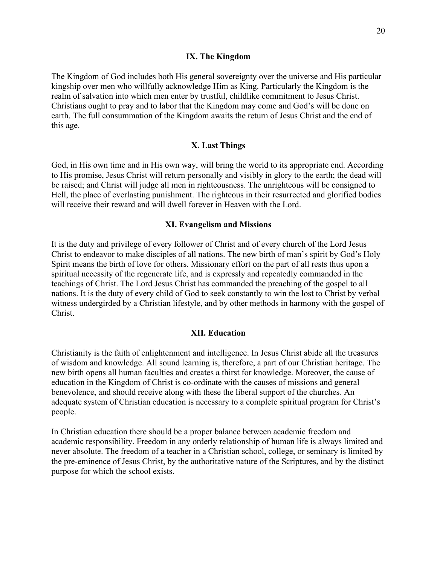20<br>
IX. The Kingdom<br>
Seperal sovereignty over the universe and His particular<br>
Seperal sovereignty over the universe and His particular<br>
The Kingdom is the<br>
Seperal Seperal Commitment to Jesus Christ. **IX. The Kingdom**<br>**IX. The Kingdom**<br>The Kingdom of God includes both His general sovereignty over the universe and His particular<br>kingship over men who willfully acknowledge Him as King. Particularly the Kingdom is the<br>rea **Kingdom**<br>**Kingship over men who willfully acknowledge Him as King. Particularly the Kingdom is the realm of salvation into which men enter by trustful, childlike commitment to Jesus Christ.<br>Christians ought to pray and to IX. The Kingdom**<br>**IX. The Kingdom**<br>The Kingship over men who willfully acknowledge Him as King. Particularly the Kingdom is the<br>realm of salvation into which men enter by trustful, childlike commitment to Jesus Christ.<br>Ch **Christians of God includes both His general sovereignty over the universe and His particular kingship over men who willfully acknowledge Him as King. Particularly the Kingdom is the realm of salvation into which men enter Example 12** 20<br> **Example 12** 20<br> **Example 12** 20<br> **Example 12** 20<br> **Example 12** 20<br> **Example 12** 20<br> **Example 12** 20<br> **Example 12** 20<br> **Example 12** 20<br> **Example 12** 20<br> **Example 12** 20<br> **Example 12** 20<br> **Example 12** 20<br> **IX. The Kingdom**<br> **IX. The Kingdom**<br> **IX. The Kingdom**<br> **IX. The Kingdom**<br> **IX. The Kingdom**<br> **IX. The Kingdom**<br> **IX. The Kingdom**<br> **IX. Bracklare Example 2018**<br> **IX. Dividends Example 2018**<br> **Consumerably Consumer Sectio** 20<br>
X. The Kingdom<br>
Seneral sovereignty over the universe and His particular<br>
Iedge Him as King. Particularly the Kingdom is the<br>
by trustful, childlike commitment to Jesus Christ.<br>
the Kingdom may come and God's will be d **EX. The Kingdom**<br>The Kingdom of God includes both His general sovereignty over the universe and His particular<br>kingship over men who willfully acknowledge Him as King. Particularly the Kingdom is the<br>realm of salvation in to His promise, Jesus Christ will return personally and visibly in glory to the earth; the dead will **EX. The Kingdom**<br> **EX. The Kingdom**<br> **EX. The Kingdom**<br> **EX. The Kingdom**<br> **EX. The Christians** over men who will<br>
thildly acknowledge Him as King. Particularly the Kingdom is the<br>
real most alwation into which men enter Hell, the place of everlasting punishment. The righteous in their resurrected and glorified bodies **EXAMPERT INTERT INTERT INTERT INTERT INTERT INTERT INTERT INTERT INTERT INTERT INTERT INTERT INTERT INTERT INTERT INTERT INTERT INTERT INTERT INTERT INTERT INTERT INTERT INTERT INTERT INTERT INTERT INTERT INTERT INTERT IN** IX. The Kingdom<br>
IX. The Kingdom<br>
acknowledge Him as King. Particularly the Kingdom is the<br>
nenter by trustful, childlike commitment to Jesus Christ.<br>
bor that the Kingdom may come and God's will be done on<br>
the Kingdom aw The Kingdom of God includes both His general sovereignty over the universe and His particular kingship over men who willfully acknowledge Him as King. Particularly the Kingdom is the realm of salvation into which men enter

The Kingdom of God includes both His general sovereignty over the universe and His particular<br>
kingship over men who willfully achorowedge Him as King. Particularly the Kingdom is the<br>
realin of salvation into which men en Ether the birth of matrix will be considered to the birth of matrix and the birth of love for the birth of love for the birth of love for the part of birth of love for the consideration of the Consistence of the Consistenc Fraction into which men enter by trustful, childlike commitment to Jesus Christ.<br>Christians ought to pray and to labor that the Kingdom may come and God's will be done on Christians ought to pray and to labor that the King Christians ought to pray and to labor that the Kingdom may come and God's will be done on<br>carth. The full consummation of the Kingdom awaits the return of Jesus Christ and the end of<br>this age.<br><br>**X.** Last Things<br>God, in His each. The full consummation of the Kingdom awaits the return of Jesus Christ and the end of this age.<br> **X.** Last Things<br>
God, in His own time and in His own way, will bring the world to its appropriate end. According<br>
to t **EXECTS UNITEL THE SECTS UNITELAT CONDUCTS**<br> **EXECUTE:** The gospel of this with the gospel of the gospel of the gospel of the gospel of this promise, Jesus Christ will return personally and visibly in glory to the earth; t Christ. En 2018 Transform and the world to its appropriate end. According<br>
ers consily and visibly in glory to the earth; the dead will<br>
In righteousness. The unrighteous will be consigned to<br>
I. The righteous in their resurrected Christianity is the faith of enlightenment and intelligence. The uniterastive subsection in the Kiristiani intelligent and Christianian in the treasures. The uniterastive subsect and Christiani intelligent all the place of be raised, and Christ will judge all men in righteousness. The unrighteous will be consigned to<br>
Hell, the place of everlasting punishment. The righteous in their resurrected and glorified bodies<br>
will receive their reward Hell, the place of everlasting punishment. The righteous in their resurrected and glorified bodies<br>will receive their reward and will dwell forever in Heaven with the Lord.<br>W. Evangelism and Missions<br>It is the duty and pri will receive their reward and will dwell forever in Heaven with the Lord.<br>
XI. Evangelism and Missions<br>
It is the duty and privilege of every follower of Christ and of every burch of the Lord Jesus<br>
Christ is co-ordinate d **Example 18 and solution and Solution Solution Solution Solution Example 18 and Solution** Christ and of every follower of Christ and of every burch of the Lord Jesus Christ to endeavor to make dissiples of all nati **XI. Evangelism and Missions**<br> **Astachable Subset Christ** to endeavor to make disciples of all nations. The new birth of man's spirit by God's Holy<br>
Christ to endeavor to make disciples of all nations. The new birth of man Christian est estation in the Kingdom of Christian education is necessary to make a shorth of man's spirit by God's Holy<br>Christ to endeavor to make disciples of all nations. The new birth of man's spirit by God's Holy<br>spir

people. Spirit means the birth of love for others. Missionary effort on the part of all rests thus upon a<br>Spirit means the birth of love for others. Missionary effort on the part of all rests thus upon a<br>spiritual necessity of the Firm all the receiver absolute. The control of a teacher in a Christian school, college, or seminated in the freedomings of Christ. The Lord Jesus Christ has commanded the preaching of the gospel to all nations. It is the Free things of Christ. The Lord Jesus Christ has commanded the preaching of the gospel to all<br>teachings of Christ. The Lord Jesus Christ has commanded the preaching of the gospel to all<br>nations. It is the duty of every chi mations. It is the duty of every child of God to seck constantly to win the lost to Christ by verbal<br>arations. It is the duty of every child of God to seck constantly to win the lost to Christ by verbal<br>avities undergirede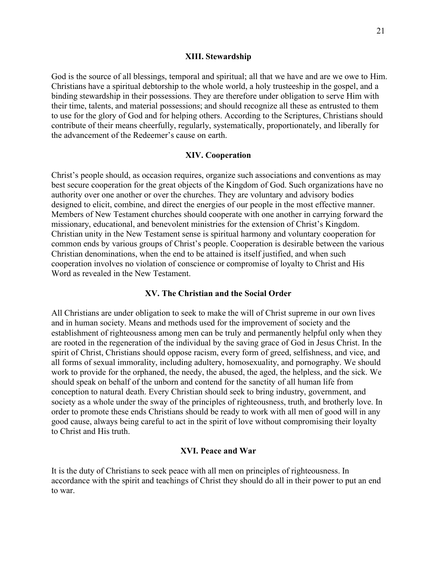21<br>
XIII. Stewardship<br>
ooral and spiritual; all that we have and are we owe to Him.<br>
b the whole world, a holy trusteeship in the gospel, and a<br>
s. They are therefore under obligation to serve Him with **XIII. Stewardship**<br>
God is the source of all blessings, temporal and spiritual; all that we have and are we owe to Him.<br>
Christians have a spiritual debtorship to the whole world, a holy trusteeship in the gospel, and a<br> **XIII. Stewardship**<br> **Cood** is the source of all blessings, temporal and spiritual; all that we have and are we owe to Him.<br>
Christians have a spiritual debtorship to the whole world, a holy trusteeship in the gospel, and **XIII. Stewardship**<br> **Cood** is the source of all blessings, temporal and spiritual; all that we have and are we owe to Him.<br>
Christians have a spiritual debtorship to the whole world, a holy trusteeship in the gospel, and XIII. Stewardship<br>
God is the source of all blessings, temporal and spiritual; all that we have and are we owe to Him.<br>
Christians have a spiritual debtorship to the whole world, a holy trusteeship in the gospel, and a<br>
bi XIII. Stewardship<br>
God is the source of all blessings, temporal and spiritual; all that we have and are we owe to Him.<br>
Christians have a spiritual debtorship to the whole world, a holy trusteship in the gospel, and a<br>
bin **Example 10** 21<br> **Contribute of the source of all blessings, temporal and spiritual; all that we have and are we owe to Him.**<br>
Christians have a spiritual debtorship to the whole world, a holy trusteeship in the gospel, an **XIII. Stewardship**<br> **Cold is the source of all blessings, temporal and spiritual, all that we have and are we owe to Him.**<br>
Christians have a spiritual debtorship to the whole world, a holy trusteeship in the gospel, and 21<br>
XIII. Stewardship<br>
oral and spiritual; all that we have and are we owe to Him.<br>
the whole world, a holy trusteeship in the gospel, and a<br>
in S. They are therefore under obligation to serve Him with<br>
oins; and should re 21<br>XIII. Stewardship<br>
Cod is the source of all blessings, temporal and spiritual; all that we have and are we owe to Him.<br>
Christians have a spiritual debtorship to the whole world, a holy trusteeship in the gospel, and a<br> 21<br>
XIII. Stewardship<br>
Ciod is the source of all blessings, temporal and spiritual; all that we have and are we owe to Him.<br>
Christians have a spiritual debtorship to the whole world, a holy trusteeship in the gospel, and

**Example 19** 21<br> **Example 10** 21<br> **AUTL Stewardship**<br>
Christians have a spirritual electrofic in the whole world, a holy trustees<br>hign in the gospel, and a binding stewardship in their possessions. They are therefore under XIII. Stewardship<br>
XIII. Stewardship<br>
Ciod is the source of all blessings, temporal and spiritual; all that we have and are we owe to Him.<br>
Christians have a spiritual debtorship to the whole world, a holy trusteeship in t XIII. Stewardship<br>
WIII. Stewardship<br>
Christians have a spiritual debtorship to the whole world, a holy trusteeship in the gospel, and a<br>
binding stewardship in their possessions; They are therefore under obligation to se XIII. Stewardship<br>
Cod is the source of all blessings, temporal and spiritual, all that we have and are we owe to Him.<br>
Christians have a spiritual debtorship to the whole world, a holy trustceship in the gospel, and a<br>
bi XIII. Stewardship<br>
XIII. Stewardship<br>
Christians have a spiritual clotorship to the whole world, a holy trust<br>ceship in the gospel, and a bin-ibinding stewardship in the strosesions. They are there<br>
or the streetion under God is the source of all blessings, temporal and spiritual; all that we have and are we owe to Him.<br>Christians have a spiritual debtorship to the whole world, a holy trusteeship in the gospel, and a<br>binding stewardship in God is the source of all blessings, temporal and spiritual; all that we have and are we ove to Him-<br>Christians have a spiritual deborship to the whole world, a holy transcession<br>Functions have a spiritual decoration to the Cooperation in the second of conscience or compromise or conscience or conscience or conscience or conscience and His this diverse in the second their time, talents, and material possessions; a They are therefore under obl Examente the presention of the steamed in the Social Order All Christians are under obligation to serve Him with their time, talents, and material possessions: They are therefore under obligation to serve Him with their ti All for the Society of the Social Order and Forest<br>and for helping others. According to the Scriptures, Christians should<br>benerfully, regularly, systematically, proportionately, and liberally for<br>deemer's cause on earth.<br> The diventual constrained in the Redemer's cause on earth.<br>
XIV. Cooperation<br>
XIV. Cooperation<br>
XIV. Cooperation<br>
XIV. Cooperation<br>
SIV. Cooperation<br>
SIV. Cooperation<br>
Seeks secure cooperation for the great objects of the **Example 20** and society. **Cooperation**<br> **AIIV. Cooperation**<br>
Christ's people should, as occasion requires, organize such associations and conventions as may<br>
best sceure cooperation for the great objects of the Kingdom of XIV. Cooperation<br>
XIV. Cooperation same conventions as may<br>
best sccure cooperation for the great objects of the Kingdom of God. Such organizations have no<br>
authority over one another or over the churches. They are volunta Christ's people should, as occasion requires. Corperations and conventions as may<br>best secure cooperation for the great ebjects of the Kingdom of God. Such organizations have no<br>authority over one another or over the churc Christ's people should, as occasion requires, organize such associations and conventions as may<br>bets secure cooperation for the great objects of the Kingdom of God. Such organizations have no<br>authority over one another or

best every concernation for the church energy and energy and advisory bodies and energy of the Kingdom of God. Such organizations have no<br>designed to elicit, combine, and direct the energies of our people in the most effec and in buman society. Means and methods used for the increasing the needy work the needy solution Members of New Testament churches should cooperate with one another in carrying forward the missionary, educational, and den designed to elicit, combine, and direct the energies of our people in the most effective manner.<br>Members of New Testament churches should cooperate with one another in earrying forward the<br>Missionary, educational, and bene Members of New Testament christians should cooperate with one another in earrying forward the missionary, educational, and brenevelent ministries for the extension of Christ's Kingdom.<br>Christian unity in the New Testament society. Means and brancher in the New Testmann society<br>and the swate whole unit of the syar control of Christ's Kingdom.<br>Christian unity in the New Testmann senes is spiritual harmony and voluntary cooperation for<br>Christi notes these ends by variables and work of the ready to encerate these ends of the ready of christians unity in the New Testament sense is spiritual harmony and voluntary cooperation for common ends by various common consen somman ends by various groups of Christ's people. Cooperation is desirable between the various<br>Christian denominations, when the end to be attained is itself justified, and when such<br>cooperation involves no violation of co Christian denominations, when the dob to attained is itself justified, and when such<br>Christian denominations, when the end to be attained is itself justified, and when such<br>cooperation involves no violation of conscience o Example the Social Order<br>
Since the will of Christ supreme in our own lives<br>
ant.<br>
The seck to make the will of Christ supreme in our own lives<br>
hods used for the improvement of society and the<br>
fluctividual by the saving XV. The Christian and the Social Order<br>
All Christians are under obligation to seek to make the will of Christ supreme in our own lives<br>
establishment of righteousness among men can be truly and permanently felpital only w All Christians are under obligation to seek to make the will of Christ supreme in our own lives<br>and in human society. Means and methods used for the imiprovement of society and the<br>establishment of righteousness among men All Christians are under obligation to seek to make the will of Christ st<br>and in human society. Means and methods used for the improvement o<br>establishment of righteousness among men can be truly and permannent of<br>are roote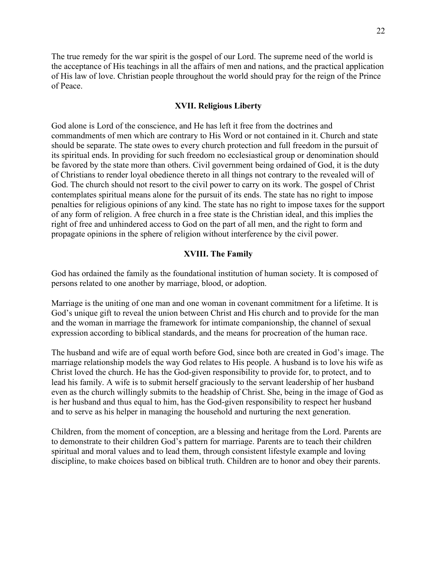22<br>The true remedy for the war spirit is the gospel of our Lord. The supreme need of the world is<br>the acceptance of His teachings in all the affairs of men and nations, and the practical application<br>of His law of love. Chr 22<br>The true remedy for the war spirit is the gospel of our Lord. The supreme need of the world is<br>the acceptance of His teachings in all the affairs of men and nations, and the practical application<br>of His law of love. Chr 22<br>
The true remedy for the war spirit is the gospel of our Lord. The supreme need of the world is<br>
the acceptance of His teachings in all the affairs of men and nations, and the practical application<br>
of His law of love. The true remedy for the war spirit is the gospel of our Lord. The suprer<br>the acceptance of His teachings in all the affairs of men and nations, an<br>of His law of love. Christian people throughout the world should pray if<br>of 22<br>the gospel of our Lord. The supreme need of the world is<br>ll the affairs of men and nations, and the practical application<br>throughout the world should pray for the reign of the Prince<br>XVII. Religious Liberty<br>XVII. Religi

22<br>The true remedy for the war spirit is the gospel of our Lord. The supreme need of the world is<br>the acceptance of His teachings in all the affairs of men and nations, and the practical application<br>of His law of love. Chr 22<br>The true remedy for the war spirit is the gospel of our Lord. The supreme need of the world is<br>the acceptance of His teachings in all the affairs of men and nations, and the practical application<br>of His law of love. Chr should be separate. The state owes to every church protection and full freedom in the pursuit of 22<br>
The true remedy for the war spirit is the gospel of our Lord. The supreme need of the world is<br>
the acceptance of His teachings in all the affairs of men and nations, and the practical application<br>
of His law of love. 22<br>
22<br>
22<br>
The true remedy for the war spirit is the gospel of our Lord. The supreme need of the world is<br>
the acceptance of His teachings in all the affairs of men and nations, and the practical application<br>
of Fias law 22<br>22<br>22<br>22<br>the acceptance of His teachings in all the affairs of men and nations, and the practical application<br>of dis law of love. Christian people throughout the world should pray for the reign of the Prince<br>of Peace.<br> 22<br>22<br>22<br>The true remedy for the war spirit is the gospel of our Lord. The supreme need of the world is<br>the acceptance of His teachings in all the affairs of men and nations, and the practical application<br>of His law of lov 22<br>22<br>22<br>The true remedy for the war spirit is the gospel of our Lord. The supreme need of the world is<br>the acceptance of His teachings in all the affairs of men and nations, and the practical application<br>of His law of lov 22<br>
The true remedy for the war spirit is the gospel of our Lord. The supreme need of the world is<br>
the acceptance of His teachings in all the affairs of men and nations, and the practical application<br>
of Its law of love. 22<br>
The true remedy for the war spirit is the gospel of our Lord. The supreme need of the world is<br>
of Fais law of love. Christian people throughout the world should pray for the reign of the Prince<br>
of Fais law of love. C The true remedy for the war spirit is the gospel of our Lord. The supreme need of the world is<br>the acceptance of His teachings in all the affairs of men and nations, and the practical application<br>of His law of love. Christ The true remedy for the war spirit is the gospel of our Lord. The supreme need of the world is<br>the acceptance of His teachings in all the affairs of men and nations, and the practical application<br>of His law of love. Christ **Example 19 The Family Solution** State Theorem and the surface extends the world should pray for the reign of the Prince oughout the world should pray for the reign of the Prince Mary to His Word or not contained in it. Ch XVII. Religious Librerty<br>
Sol alone is Lord of the conscience, and He has left it free from the doctrines and<br>
commandments of men which are contrary to His Word or not contained in it. Church and state<br>
should be separate XVII. Religious Liberty<br>
XVII. Religious Liberty<br>
God alone is Lord of the conscience, and He has left it free from the doctrines and<br>
school de separate. The state owes to every church protection and full freedom in the p God alone is Lord of the conscience, and He has left it free from the doctrines and<br>commandments of men which are contrary to His Word or not contained in it. Church and state<br>should be separate. The state owes to every c commandments of men which are contrary to His Word or not contained in it. Church and state should be separate. The state owes to every church protection and full freedom min the pursuit of should be separate. The state ow should be separate. The state owes to overy channel protection and full freedom in the pursuit of its spiritual ends. In providing for such freedom no ecclesiatical group or denomination should be favored by the state more its spiritual ends. In providing for such freedom no ecclesiastical group or denomination should<br>he favored by the state more than others. Civil government being ordand of God, it is the duty<br>of Christians to render loyal of Christians to render loyal obedience thereto in all things not contrary to the revealed will of God. The church should not resort to the civil power to crary on its work. The google of Christ contemplates spiritual mean

God. The church should not resort to the civil power to carry on its work. The gospel of Christ<br>coatemplates spirriual means alone for the pursuit of its ends. The state has no right to impose<br>penalties for religious opin contemplates spiritual means alone for the pursuit of its ends. The state has no right to impose<br>contemplates for religious opinions of any kind. The state has no right to impose<br>ansay for religious opinions of any kind. T servallies for religious opinions of any kind. The state has no right to impose taxes for the support<br>of any form of religious opinions of any kind. The state has no right to impose taxes for the support<br>of any form of rel For the church will be continuous that the church will also the church will be the church will be chause to fight of free and unhindered access to God on the part of all men, and the right to form and<br>right of free and unh inglul of free and unimated access to God on the part of all men, and the right to form and<br>
inglul of free and unhindered access to God on the part of all men, and the right to form and<br>
propagate opinions in the sphere o propagate opinions in the sphere of religion without interference by the civil power.<br> **XVIII.** The Family<br>
God has ordained the family as the foundational institution of human society. It is composed of<br>
persons related t XVIII. The Family<br>
Sod has ordained the family as the foundational institution of human society. It is composed of<br>
persons related to one another by marriage, blood, or adoption.<br>
Marriage is the uniting of one man and on God has ordained the family as the foundational institution of human society. It is composed of<br>persons related to one another by marriage, blood, or adoption.<br>Marriage is the untiting of one man and one woman in covenant God has ordained the family as the foundational institution of human society. It is composed of persons related to one another by marriage, blood, or adoption.<br>
Marriage is the uniting of one man and one woman in covenant persons related to one another by marriage, blood, or adoption.<br>Marriage is the uniting of one man and one woman in covenant commitment for a lifetime. It is<br>God's unique gift to reveal the union between Christ and His chu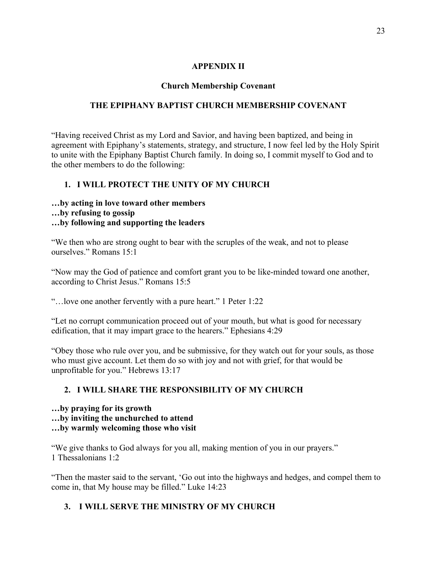# 23<br>APPENDIX II<br>Membership Covenant<br>CHURCH MEMBERSHIP COVENANT 23<br>
APPENDIX II<br>
Church Membership Covenant<br>
SAPTIST CHURCH MEMBERSHIP COVENANT<br>
Cord and Savior and boting boostboard and boting in

23<br> **APPENDIX II**<br> **Church Membership Covenant**<br> **THE EPIPHANY BAPTIST CHURCH MEMBERSHIP COVENANT**<br>
reeived Christ as my Lord and Savior, and having been baptized, and being in<br>
with Epiphany's statements, strategy, and st 23<br>
23<br>
23<br>
Church Membership Covenant<br>
THE EPIPHANY BAPTIST CHURCH MEMBERSHIP COVENANT<br>
"Having received Christ as my Lord and Savior, and having been baptized, and being in<br>
agreement with the Epiphany's statements, stra **EXECT ASSET WE ARE A SET ASSET WE ARE SET ASSET WE ARE SET AND ASSET STATE EPIPHANY BAPTIST CHURCH MEMBERSHIP COVENANT**<br>
The epipement with Epiphany's statements, strategy, and structure, I now feel led by the Holy Spirit THE EPIPHANY BAPTIST CHURCH MEMBERSHIP COVENANT<br>
THE EPIPHANY BAPTIST CHURCH MEMBERSHIP COVENANT<br>
Thaving received Christ as my Lord and Savior, and having been baptized, and being in<br>
agreement with Epiphany's statements, **EXECUTE ASSEMALL AT A SET ASSEMALL CONDUCT A SET ASSEMALL CONDUCT AND SET AND SET AND SET AND SET AND SET AND SET AND SET AND SET AND THE EPIPHANY BAPTIST CHURCH MEMBERSHIP COVENANT THE UNITY BASEM TO the with the followi** 1. I WILL PROTECT THE UNITY OF MY CHURCH …by acting in love toward other members APPENDIX II<br>
Church Membership Covenant<br>
THE EPIPHANY BAPTIST CHURCH MEMBERSHIP COVENANT<br>
"Having received Christ as my Lord and Savior, and having been baptized, and being<br>
agreement with Epiphany's statements, strategy, **EXECT AND APTENDIX II**<br> **EXECUTE ANTIVE CHURCH MEMBERSHIP COVENANT**<br> **EXECUTE ANTIFICATE AND ASSET CHURCH MEMBERSHIP COVENANT**<br> **EXECUTE ANTIFICATE AND THE LATE AND SUPPORT AND SUPPORT AND SUPPORT AND ASSET AND SUPPORT OF** "We then who are strong ought to bear with the scruples of the weak, and not to please **CHERE COVENATE COVENATE COVENATE COVENATE COVENANT**<br> **Charge THE EPIPHANY BAPTIST CHURCH MEMBERSHIP COVENANT**<br> **CHERE COVENANT**<br>
The strain grecent with Epiphany's statements, strategy, and structure, I now feel led by th THE EPIPHANY BAPTIST CHURCH MEMBERSHIP COVENANT<br>
"Having received Christ as my Lord and Savior, and having been baptized, and being in<br>
agreement with the Fipiphany Paptist Church family. In doing so, I commit myself to Go **THE EPIPHANY BAPTIST CHURCH MEMBERSHIP COVENANT**<br>
"Having received Christ as my Lord and Savior, and having been baptized, and being in<br>
agreement with Epiphany Stattements, strategy, and strategy, Commit myself to unite "Having received Christ as my Lord and Savior, and having been baptized, and being in agreement with Epiphany's statements, strategy, and structure, I now feel led by the Holy Spirit to unite with the Epiphany Baptist Chur Traving recorrect Communication proceed out of your mouth, but what is good for necessary<br>agreement with Epiphany's statements, strategy, and structure, I now feel led by the Holy Spirit<br>to unite with the Epiphany Baptist

- 
- 

edification, that it may instance to the hearers." For the watch in the means of the mean term of the other members of the following:<br>
1. I WILL PROTECT THE UNITY OF MY CHURCH<br>
...by acting in love toward other members<br>
.. 1. 1 WILL PROTECT THE UNITY OF MY CHURCH<br>
...by acting in love toward other members<br>
...by refusing to gossip<br>
...by following and supporting the leaders<br>
"We then who are strong ought to bear with the scruples of the weak 1. I WILL PROTECT THE UNITY OF MY CHURCH<br>
...by acting in love toward other members<br>
...by refusing to gossip<br>
...by following and supporting the leaders<br>
"We them who are strong ought to bear with the seruples of the weak 1. TWEET NOTEST THE SIMIT OF WE STROMENT<br>
...by refusing to gossip<br>
...by refusing to gossip<br>
...by following and supporting the leaders<br>
"We then who are strong ought to bear with the scruples of the weak, and not to ple y erlasing to or easosip<br>y relasing to gossip<br>y following and supporting the leaders<br>tehen who are strong ought to bear with the seruples of the weak, and not to please<br>selves." Romans 15:1<br>www.may the God of patience and …by formulation and supporting the leaders<br>
"We then who are strong ought to bear with the scruptes of the weak, and not to please<br>
ourselves." Romans 15:1<br>
"Now may the God of patience and comfort grant you to be like-mi "We then who are strong ought to bear with the scruples of the weak, and not to please<br>ourselves." Romans 15:1<br>"Now may the God of patience and comfort grant you to be like-minded toward one another,<br>according to Christ Je we encore who are storing out of particles who well be the weak, and not to phease<br>
ourselves." Romans 15:1<br>
"Now may the God of patience and comfort grant you to be like-minded toward one another,<br>
according to Christ Jes "Now may the God of patience and comfort grant you to be like-minded toward one another,<br>according to Christ Jesus." Romans 15:5<br>"... love one another fervently with a pure heart." 1 Peter 1:22<br>Tect no corrupt communicatio Frow may be coal or paintece and connoit grant you to be like-finited toward one<br>according to Christ Jesus." Romans 15:5<br>"...love one another fervently with a pure heart." 1 Peter 1:22<br>"Let no corrupt communication procee "...love one another fervently with a pure heart." 1 Peter 1:22<br>
"Let no corrupt communication proceed out of your mouth, but what is good for necessary<br>
edification, that it may impart grace to the hearers." Ephesians 4:2 2.1.1.000 come another let octantly wint a plue neart. Preceding but what is good for necessary "Let no corrup to communication proceed out of your mouth, but what is good for necessary differento, that it may impart grac In Cortop communication proceed out of your mount, out what is good for necessary<br>fication, that it may impart grace to the bearers." Ephesians 4:29<br>bey those who rule over you, and be submissive, for they watch out for yo

- 
-